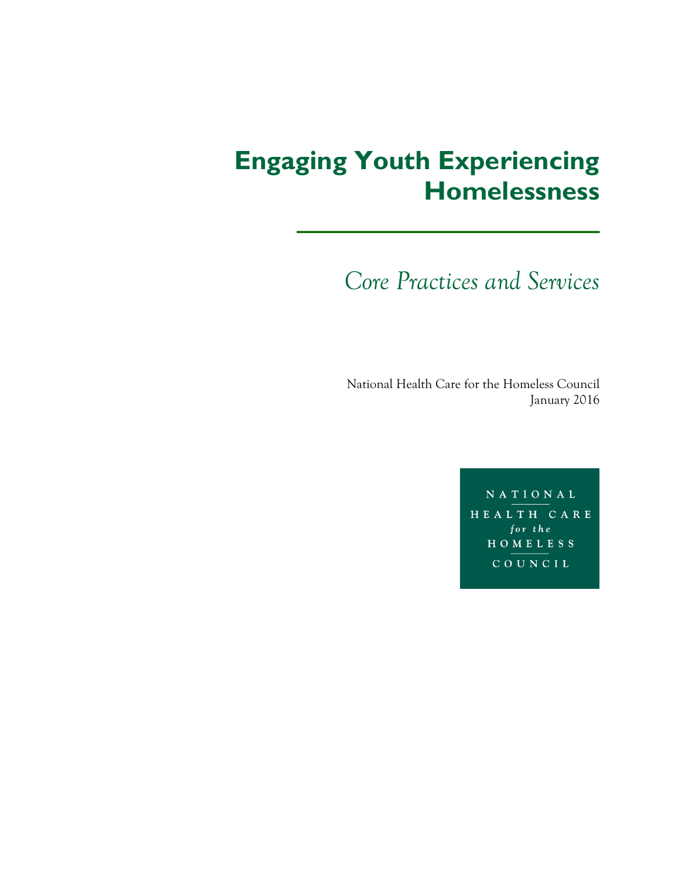# **Engaging Youth Experiencing Homelessness**

*Core Practices and Services*

National Health Care for the Homeless Council January 2016

> NATIONAL HEALTH CARE for the HOMELESS COUNCIL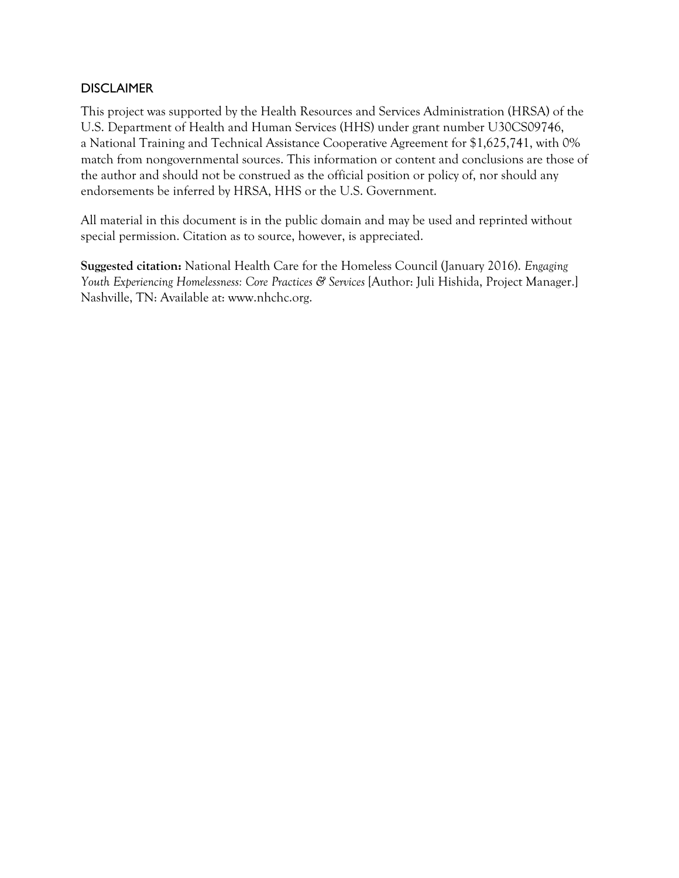## DISCLAIMER

This project was supported by the Health Resources and Services Administration (HRSA) of the U.S. Department of Health and Human Services (HHS) under grant number U30CS09746, a National Training and Technical Assistance Cooperative Agreement for \$1,625,741, with 0% match from nongovernmental sources. This information or content and conclusions are those of the author and should not be construed as the official position or policy of, nor should any endorsements be inferred by HRSA, HHS or the U.S. Government.

All material in this document is in the public domain and may be used and reprinted without special permission. Citation as to source, however, is appreciated.

**Suggested citation:** National Health Care for the Homeless Council (January 2016). *Engaging Youth Experiencing Homelessness: Core Practices & Services* [Author: Juli Hishida, Project Manager.] Nashville, TN: Available at: www.nhchc.org.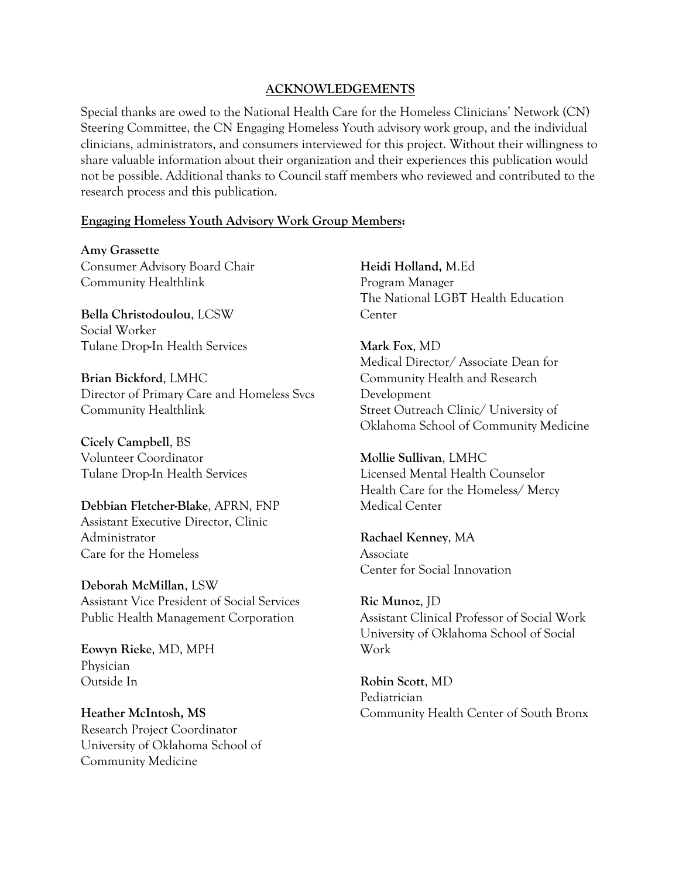#### **ACKNOWLEDGEMENTS**

Special thanks are owed to the National Health Care for the Homeless Clinicians' Network (CN) Steering Committee, the CN Engaging Homeless Youth advisory work group, and the individual clinicians, administrators, and consumers interviewed for this project. Without their willingness to share valuable information about their organization and their experiences this publication would not be possible. Additional thanks to Council staff members who reviewed and contributed to the research process and this publication.

#### **Engaging Homeless Youth Advisory Work Group Members:**

**Amy Grassette** Consumer Advisory Board Chair Community Healthlink

**Bella Christodoulou**, LCSW Social Worker Tulane Drop-In Health Services

**Brian Bickford**, LMHC Director of Primary Care and Homeless Svcs Community Healthlink

**Cicely Campbell**, BS Volunteer Coordinator Tulane Drop-In Health Services

**Debbian Fletcher-Blake**, APRN, FNP Assistant Executive Director, Clinic Administrator Care for the Homeless

**Deborah McMillan**, LSW Assistant Vice President of Social Services Public Health Management Corporation

**Eowyn Rieke**, MD, MPH Physician Outside In

**Heather McIntosh, MS** Research Project Coordinator University of Oklahoma School of Community Medicine

**Heidi Holland,** M.Ed Program Manager The National LGBT Health Education Center

**Mark Fox**, MD Medical Director/ Associate Dean for Community Health and Research Development Street Outreach Clinic/ University of Oklahoma School of Community Medicine

**Mollie Sullivan**, LMHC Licensed Mental Health Counselor Health Care for the Homeless/ Mercy Medical Center

**Rachael Kenney**, MA Associate Center for Social Innovation

**Ric Munoz**, JD Assistant Clinical Professor of Social Work University of Oklahoma School of Social Work

**Robin Scott**, MD Pediatrician Community Health Center of South Bronx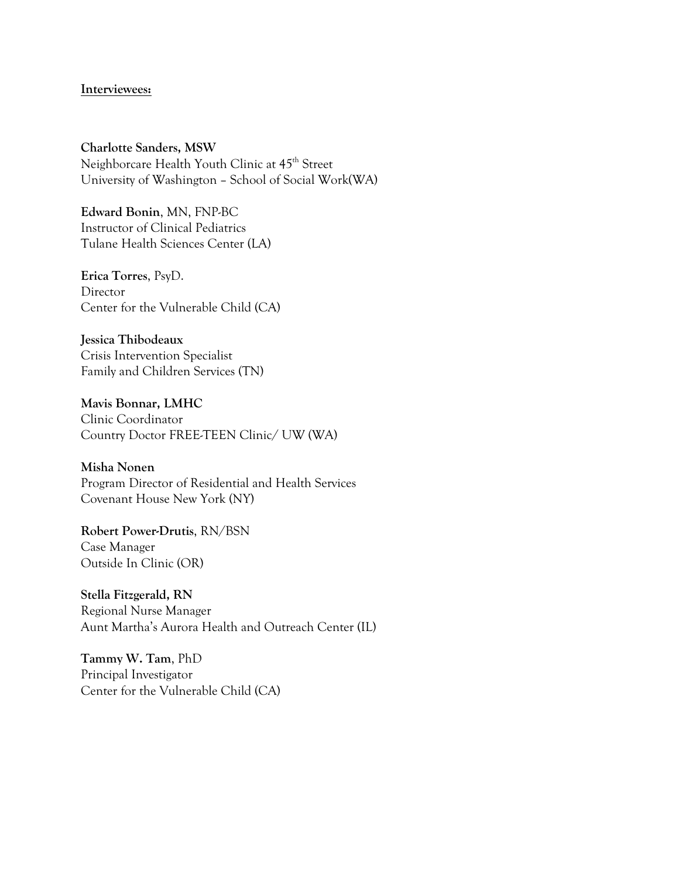#### **Interviewees:**

**Charlotte Sanders, MSW** Neighborcare Health Youth Clinic at 45<sup>th</sup> Street University of Washington – School of Social Work(WA)

**Edward Bonin**, MN, FNP-BC Instructor of Clinical Pediatrics Tulane Health Sciences Center (LA)

**Erica Torres**, PsyD. Director Center for the Vulnerable Child (CA)

**Jessica Thibodeaux** Crisis Intervention Specialist Family and Children Services (TN)

**Mavis Bonnar, LMHC** Clinic Coordinator Country Doctor FREE-TEEN Clinic/ UW (WA)

**Misha Nonen** Program Director of Residential and Health Services Covenant House New York (NY)

**Robert Power-Drutis**, RN/BSN Case Manager Outside In Clinic (OR)

**Stella Fitzgerald, RN** Regional Nurse Manager Aunt Martha's Aurora Health and Outreach Center (IL)

**Tammy W. Tam**, PhD Principal Investigator Center for the Vulnerable Child (CA)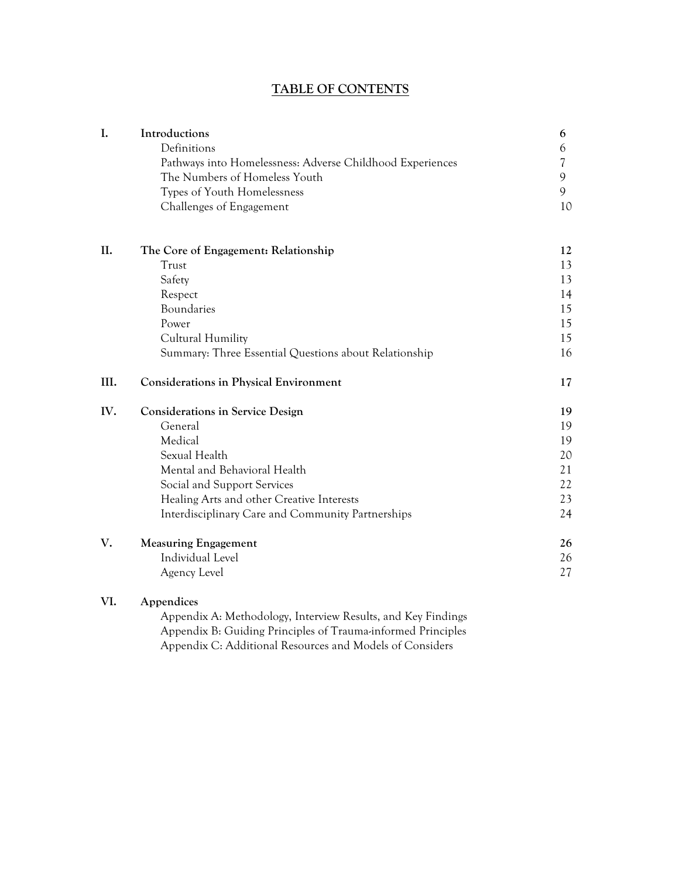# **TABLE OF CONTENTS**

| I.   | Introductions                                                | 6  |
|------|--------------------------------------------------------------|----|
|      | Definitions                                                  | 6  |
|      | Pathways into Homelessness: Adverse Childhood Experiences    | 7  |
|      | The Numbers of Homeless Youth                                | 9  |
|      | Types of Youth Homelessness                                  | 9  |
|      | Challenges of Engagement                                     | 10 |
| II.  | The Core of Engagement: Relationship                         | 12 |
|      | Trust                                                        | 13 |
|      | Safety                                                       | 13 |
|      | Respect                                                      | 14 |
|      | Boundaries                                                   | 15 |
|      | Power                                                        | 15 |
|      | Cultural Humility                                            | 15 |
|      | Summary: Three Essential Questions about Relationship        | 16 |
| III. | <b>Considerations in Physical Environment</b>                | 17 |
| IV.  | <b>Considerations in Service Design</b>                      | 19 |
|      | General                                                      | 19 |
|      | Medical                                                      | 19 |
|      | Sexual Health                                                | 20 |
|      | Mental and Behavioral Health                                 | 21 |
|      | Social and Support Services                                  | 22 |
|      | Healing Arts and other Creative Interests                    | 23 |
|      | Interdisciplinary Care and Community Partnerships            | 24 |
| V.   | <b>Measuring Engagement</b>                                  | 26 |
|      | Individual Level                                             | 26 |
|      | Agency Level                                                 | 27 |
| VI.  | Appendices                                                   |    |
|      | Appendix A: Methodology, Interview Results, and Key Findings |    |

Appendix B: Guiding Principles of Trauma-informed Principles Appendix C: Additional Resources and Models of Considers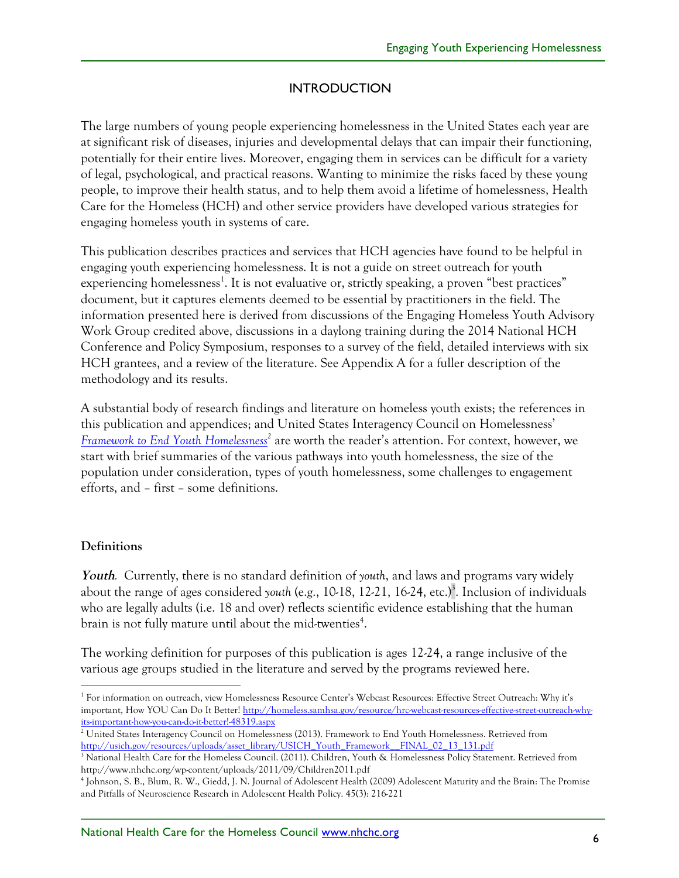## **INTRODUCTION**

The large numbers of young people experiencing homelessness in the United States each year are at significant risk of diseases, injuries and developmental delays that can impair their functioning, potentially for their entire lives. Moreover, engaging them in services can be difficult for a variety of legal, psychological, and practical reasons. Wanting to minimize the risks faced by these young people, to improve their health status, and to help them avoid a lifetime of homelessness, Health Care for the Homeless (HCH) and other service providers have developed various strategies for engaging homeless youth in systems of care.

This publication describes practices and services that HCH agencies have found to be helpful in engaging youth experiencing homelessness. It is not a guide on street outreach for youth experiencing homelessness<sup>1</sup>. It is not evaluative or, strictly speaking, a proven "best practices" document, but it captures elements deemed to be essential by practitioners in the field. The information presented here is derived from discussions of the Engaging Homeless Youth Advisory Work Group credited above, discussions in a daylong training during the 2014 National HCH Conference and Policy Symposium, responses to a survey of the field, detailed interviews with six HCH grantees, and a review of the literature. See Appendix A for a fuller description of the methodology and its results.

A substantial body of research findings and literature on homeless youth exists; the references in this publication and appendices; and United States Interagency Council on Homelessness' *Framework to End Youth Homelessness<sup>2</sup>* are worth the reader's attention. For context, however, we start with brief summaries of the various pathways into youth homelessness, the size of the population under consideration, types of youth homelessness, some challenges to engagement efforts, and – first – some definitions.

#### **Definitions**

**Youth***.* Currently, there is no standard definition of *youth*, and laws and programs vary widely about the range of ages considered youth (e.g., 10-18, 12-21, 16-24, etc.)<sup>3</sup>. Inclusion of individuals who are legally adults (i.e. 18 and over) reflects scientific evidence establishing that the human brain is not fully mature until about the mid-twenties $^4$ .

The working definition for purposes of this publication is ages 12-24, a range inclusive of the various age groups studied in the literature and served by the programs reviewed here.

<sup>&</sup>lt;sup>1</sup> For information on outreach, view Homelessness Resource Center's Webcast Resources: Effective Street Outreach: Why it's important, How YOU Can Do It Better! http://homeless.samhsa.gov/resource/hrc-webcast-resources-effective-street-outreach-whyits-important-how-you-can-do-it-better!-48319.aspx

<sup>&</sup>lt;sup>2</sup> United States Interagency Council on Homelessness (2013). Framework to End Youth Homelessness. Retrieved from http://usich.gov/resources/uploads/asset\_library/USICH\_Youth\_Framework\_\_FINAL\_02\_13\_131.pdf

<sup>&</sup>lt;sup>3</sup> National Health Care for the Homeless Council. (2011). Children, Youth & Homelessness Policy Statement. Retrieved from http://www.nhchc.org/wp-content/uploads/2011/09/Children2011.pdf

<sup>4</sup> Johnson, S. B., Blum, R. W., Giedd, J. N. Journal of Adolescent Health (2009) Adolescent Maturity and the Brain: The Promise and Pitfalls of Neuroscience Research in Adolescent Health Policy. 45(3): 216-221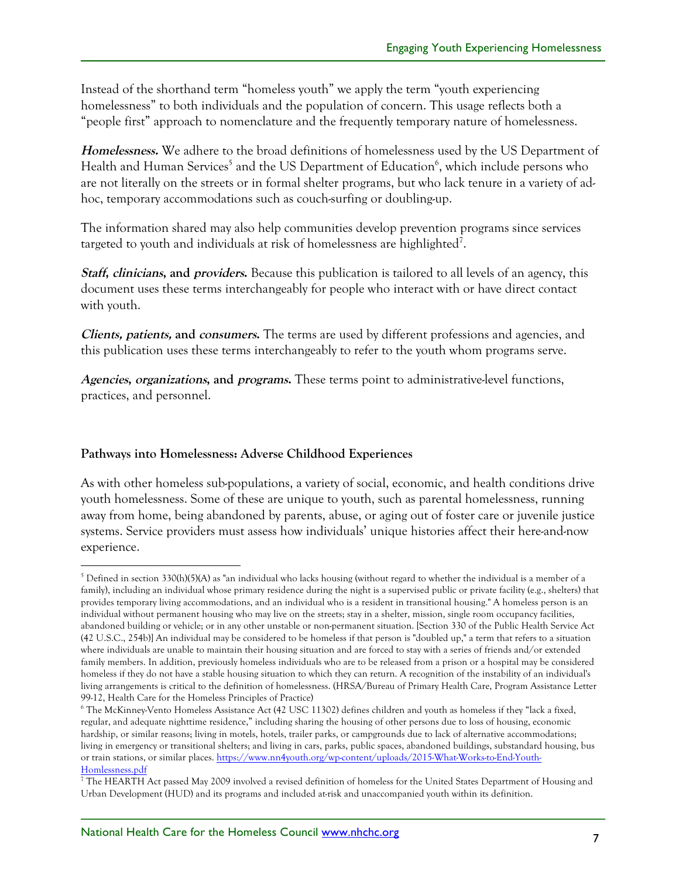Instead of the shorthand term "homeless youth" we apply the term "youth experiencing homelessness" to both individuals and the population of concern. This usage reflects both a "people first" approach to nomenclature and the frequently temporary nature of homelessness.

**Homelessness.** We adhere to the broad definitions of homelessness used by the US Department of Health and Human Services<sup>5</sup> and the US Department of Education<sup>6</sup>, which include persons who are not literally on the streets or in formal shelter programs, but who lack tenure in a variety of adhoc, temporary accommodations such as couch-surfing or doubling-up.

The information shared may also help communities develop prevention programs since services targeted to youth and individuals at risk of homelessness are highlighted<sup>7</sup>.

**Staff, clinicians, and providers.** Because this publication is tailored to all levels of an agency, this document uses these terms interchangeably for people who interact with or have direct contact with youth.

**Clients, patients, and consumers.** The terms are used by different professions and agencies, and this publication uses these terms interchangeably to refer to the youth whom programs serve.

**Agencies, organizations, and programs.** These terms point to administrative-level functions, practices, and personnel.

#### **Pathways into Homelessness: Adverse Childhood Experiences**

As with other homeless sub-populations, a variety of social, economic, and health conditions drive youth homelessness. Some of these are unique to youth, such as parental homelessness, running away from home, being abandoned by parents, abuse, or aging out of foster care or juvenile justice systems. Service providers must assess how individuals' unique histories affect their here-and-now experience.

 <sup>5</sup> Defined in section 330(h)(5)(A) as "an individual who lacks housing (without regard to whether the individual is a member of a family), including an individual whose primary residence during the night is a supervised public or private facility (e.g., shelters) that provides temporary living accommodations, and an individual who is a resident in transitional housing." A homeless person is an individual without permanent housing who may live on the streets; stay in a shelter, mission, single room occupancy facilities, abandoned building or vehicle; or in any other unstable or non-permanent situation. [Section 330 of the Public Health Service Act (42 U.S.C., 254b)] An individual may be considered to be homeless if that person is "doubled up," a term that refers to a situation where individuals are unable to maintain their housing situation and are forced to stay with a series of friends and/or extended family members. In addition, previously homeless individuals who are to be released from a prison or a hospital may be considered homeless if they do not have a stable housing situation to which they can return. A recognition of the instability of an individual's living arrangements is critical to the definition of homelessness. (HRSA/Bureau of Primary Health Care, Program Assistance Letter 99-12, Health Care for the Homeless Principles of Practice)

<sup>6</sup> The McKinney-Vento Homeless Assistance Act (42 USC 11302) defines children and youth as homeless if they "lack a fixed, regular, and adequate nighttime residence," including sharing the housing of other persons due to loss of housing, economic hardship, or similar reasons; living in motels, hotels, trailer parks, or campgrounds due to lack of alternative accommodations; living in emergency or transitional shelters; and living in cars, parks, public spaces, abandoned buildings, substandard housing, bus or train stations, or similar places. https://www.nn4youth.org/wp-content/uploads/2015-What-Works-to-End-Youth-Homlessness.pdf

<sup>&</sup>lt;sup>7</sup> The HEARTH Act passed May 2009 involved a revised definition of homeless for the United States Department of Housing and Urban Development (HUD) and its programs and included at-risk and unaccompanied youth within its definition.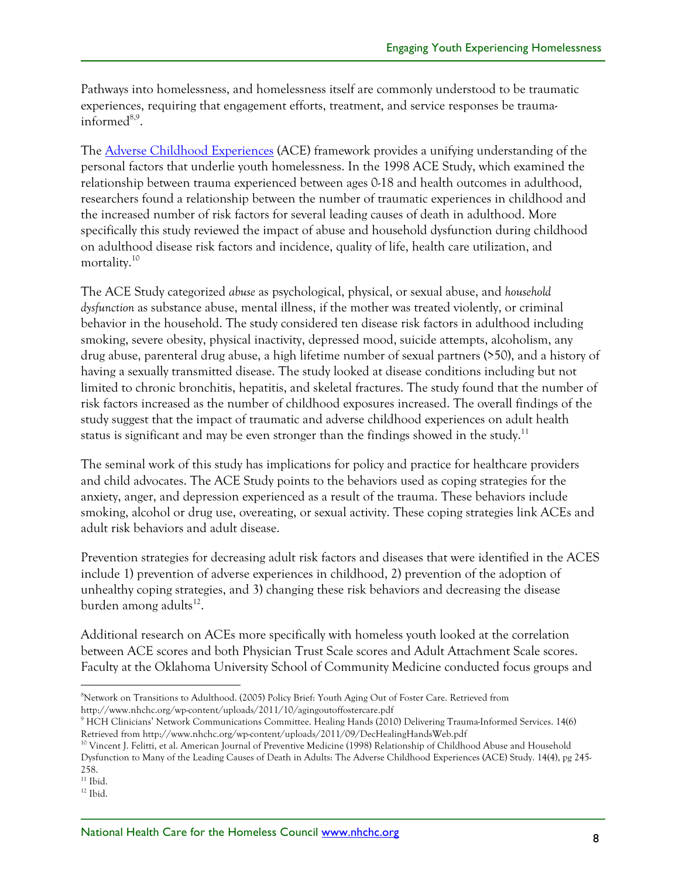Pathways into homelessness, and homelessness itself are commonly understood to be traumatic experiences, requiring that engagement efforts, treatment, and service responses be traumainformed<sup>8,9</sup>.

The **Adverse Childhood Experiences** (ACE) framework provides a unifying understanding of the personal factors that underlie youth homelessness. In the 1998 ACE Study, which examined the relationship between trauma experienced between ages 0-18 and health outcomes in adulthood, researchers found a relationship between the number of traumatic experiences in childhood and the increased number of risk factors for several leading causes of death in adulthood. More specifically this study reviewed the impact of abuse and household dysfunction during childhood on adulthood disease risk factors and incidence, quality of life, health care utilization, and mortality.<sup>10</sup>

The ACE Study categorized *abuse* as psychological, physical, or sexual abuse, and *household dysfunction* as substance abuse, mental illness, if the mother was treated violently, or criminal behavior in the household. The study considered ten disease risk factors in adulthood including smoking, severe obesity, physical inactivity, depressed mood, suicide attempts, alcoholism, any drug abuse, parenteral drug abuse, a high lifetime number of sexual partners (>50), and a history of having a sexually transmitted disease. The study looked at disease conditions including but not limited to chronic bronchitis, hepatitis, and skeletal fractures. The study found that the number of risk factors increased as the number of childhood exposures increased. The overall findings of the study suggest that the impact of traumatic and adverse childhood experiences on adult health status is significant and may be even stronger than the findings showed in the study.<sup>11</sup>

The seminal work of this study has implications for policy and practice for healthcare providers and child advocates. The ACE Study points to the behaviors used as coping strategies for the anxiety, anger, and depression experienced as a result of the trauma. These behaviors include smoking, alcohol or drug use, overeating, or sexual activity. These coping strategies link ACEs and adult risk behaviors and adult disease.

Prevention strategies for decreasing adult risk factors and diseases that were identified in the ACES include 1) prevention of adverse experiences in childhood, 2) prevention of the adoption of unhealthy coping strategies, and 3) changing these risk behaviors and decreasing the disease burden among adults $^{12}$ .

Additional research on ACEs more specifically with homeless youth looked at the correlation between ACE scores and both Physician Trust Scale scores and Adult Attachment Scale scores. Faculty at the Oklahoma University School of Community Medicine conducted focus groups and

 $\frac{1}{8}$ <sup>8</sup>Network on Transitions to Adulthood. (2005) Policy Brief: Youth Aging Out of Foster Care. Retrieved from http://www.nhchc.org/wp-content/uploads/2011/10/agingoutoffostercare.pdf

<sup>9</sup> HCH Clinicians' Network Communications Committee. Healing Hands (2010) Delivering Trauma-Informed Services. 14(6) Retrieved from http://www.nhchc.org/wp-content/uploads/2011/09/DecHealingHandsWeb.pdf

<sup>&</sup>lt;sup>10</sup> Vincent J. Felitti, et al. American Journal of Preventive Medicine (1998) Relationship of Childhood Abuse and Household Dysfunction to Many of the Leading Causes of Death in Adults: The Adverse Childhood Experiences (ACE) Study. 14(4), pg 245- 258.

 $\rm ^{11}$  Ibid.

 $12$  Ibid.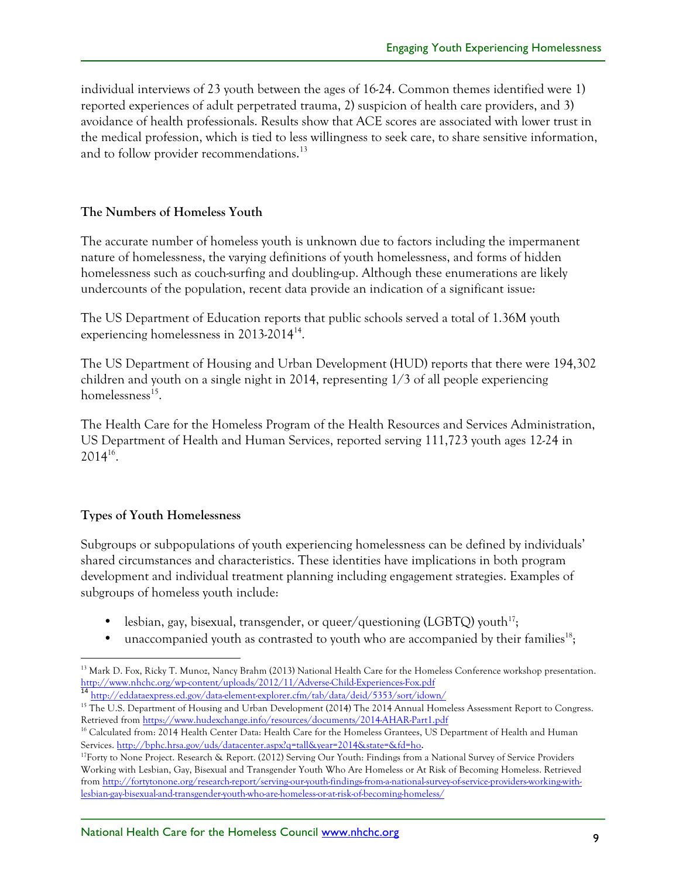individual interviews of 23 youth between the ages of 16-24. Common themes identified were 1) reported experiences of adult perpetrated trauma, 2) suspicion of health care providers, and 3) avoidance of health professionals. Results show that ACE scores are associated with lower trust in the medical profession, which is tied to less willingness to seek care, to share sensitive information, and to follow provider recommendations.<sup>13</sup>

## **The Numbers of Homeless Youth**

The accurate number of homeless youth is unknown due to factors including the impermanent nature of homelessness, the varying definitions of youth homelessness, and forms of hidden homelessness such as couch-surfing and doubling-up. Although these enumerations are likely undercounts of the population, recent data provide an indication of a significant issue:

The US Department of Education reports that public schools served a total of 1.36M youth experiencing homelessness in 2013-2014<sup>14</sup>.

The US Department of Housing and Urban Development (HUD) reports that there were 194,302 children and youth on a single night in 2014, representing  $1/3$  of all people experiencing homelessness $^{15}$ .

The Health Care for the Homeless Program of the Health Resources and Services Administration, US Department of Health and Human Services, reported serving 111,723 youth ages 12-24 in 201416.

#### **Types of Youth Homelessness**

Subgroups or subpopulations of youth experiencing homelessness can be defined by individuals' shared circumstances and characteristics. These identities have implications in both program development and individual treatment planning including engagement strategies. Examples of subgroups of homeless youth include:

- lesbian, gay, bisexual, transgender, or queer/questioning (LGBTQ) youth<sup>17</sup>;
- unaccompanied youth as contrasted to youth who are accompanied by their families<sup>18</sup>;

<sup>&</sup>lt;sup>13</sup> Mark D. Fox, Ricky T. Munoz, Nancy Brahm (2013) National Health Care for the Homeless Conference workshop presentation.<br>http://www.nhchc.org/wp-content/uploads/2012/11/Adverse-Child-Experiences-Fox.pdf

<sup>&</sup>lt;sup>14</sup> http://eddataexpress.ed.gov/data-element-explorer.cfm/tab/data/deid/5353/sort/idown/

<sup>&</sup>lt;sup>15</sup> The U.S. Department of Housing and Urban Development (2014) The 2014 Annual Homeless Assessment Report to Congress. Retrieved from https://www.hudexchange.info/resources/documents/2014-AHAR-Part1.pdf

<sup>&</sup>lt;sup>16</sup> Calculated from: 2014 Health Center Data: Health Care for the Homeless Grantees, US Department of Health and Human Services. http://bphc.hrsa.gov/uds/datacenter.aspx?q=tall&year=2014&state=&fd=ho.

 $17$ Forty to None Project. Research & Report. (2012) Serving Our Youth: Findings from a National Survey of Service Providers Working with Lesbian, Gay, Bisexual and Transgender Youth Who Are Homeless or At Risk of Becoming Homeless. Retrieved from http://fortytonone.org/research-report/serving-our-youth-findings-from-a-national-survey-of-service-providers-working-withlesbian-gay-bisexual-and-transgender-youth-who-are-homeless-or-at-risk-of-becoming-homeless/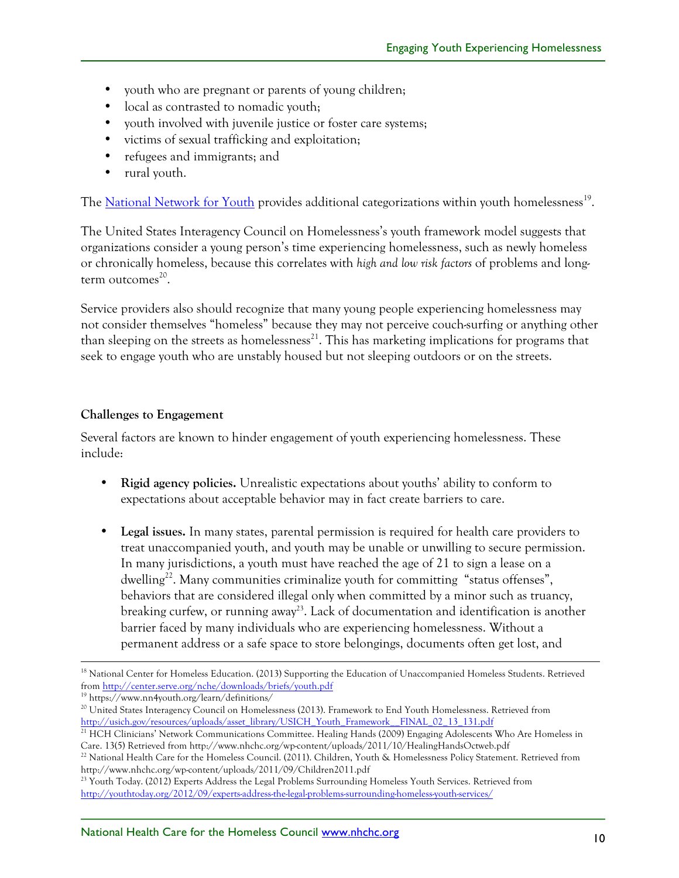- youth who are pregnant or parents of young children;
- local as contrasted to nomadic youth;
- youth involved with juvenile justice or foster care systems;
- victims of sexual trafficking and exploitation;
- refugees and immigrants; and
- rural youth.

The National Network for Youth provides additional categorizations within youth homelessness<sup>19</sup>.

The United States Interagency Council on Homelessness's youth framework model suggests that organizations consider a young person's time experiencing homelessness, such as newly homeless or chronically homeless, because this correlates with *high and low risk factors* of problems and long $term$  outcomes $^{20}$ .

Service providers also should recognize that many young people experiencing homelessness may not consider themselves "homeless" because they may not perceive couch-surfing or anything other than sleeping on the streets as homelessness<sup>21</sup>. This has marketing implications for programs that seek to engage youth who are unstably housed but not sleeping outdoors or on the streets.

## **Challenges to Engagement**

Several factors are known to hinder engagement of youth experiencing homelessness. These include:

- **Rigid agency policies.** Unrealistic expectations about youths' ability to conform to expectations about acceptable behavior may in fact create barriers to care.
- **Legal issues.** In many states, parental permission is required for health care providers to treat unaccompanied youth, and youth may be unable or unwilling to secure permission. In many jurisdictions, a youth must have reached the age of 21 to sign a lease on a dwelling<sup>22</sup>. Many communities criminalize youth for committing "status offenses", behaviors that are considered illegal only when committed by a minor such as truancy, breaking curfew, or running away<sup>23</sup>. Lack of documentation and identification is another barrier faced by many individuals who are experiencing homelessness. Without a permanent address or a safe space to store belongings, documents often get lost, and

<sup>19</sup> https://www.nn4youth.org/learn/definitions/

<sup>20</sup> United States Interagency Council on Homelessness (2013). Framework to End Youth Homelessness. Retrieved from http://usich.gov/resources/uploads/asset\_library/USICH\_Youth\_Framework\_\_FINAL\_02\_13\_131.pdf

<sup>&</sup>lt;sup>18</sup> National Center for Homeless Education. (2013) Supporting the Education of Unaccompanied Homeless Students. Retrieved from http://center.serve.org/nche/downloads/briefs/youth.pdf

<sup>&</sup>lt;sup>21</sup> HCH Clinicians' Network Communications Committee. Healing Hands (2009) Engaging Adolescents Who Are Homeless in Care. 13(5) Retrieved from http://www.nhchc.org/wp-content/uploads/2011/10/HealingHandsOctweb.pdf

<sup>&</sup>lt;sup>22</sup> National Health Care for the Homeless Council. (2011). Children, Youth & Homelessness Policy Statement. Retrieved from http://www.nhchc.org/wp-content/uploads/2011/09/Children2011.pdf

<sup>&</sup>lt;sup>23</sup> Youth Today. (2012) Experts Address the Legal Problems Surrounding Homeless Youth Services. Retrieved from http://youthtoday.org/2012/09/experts-address-the-legal-problems-surrounding-homeless-youth-services/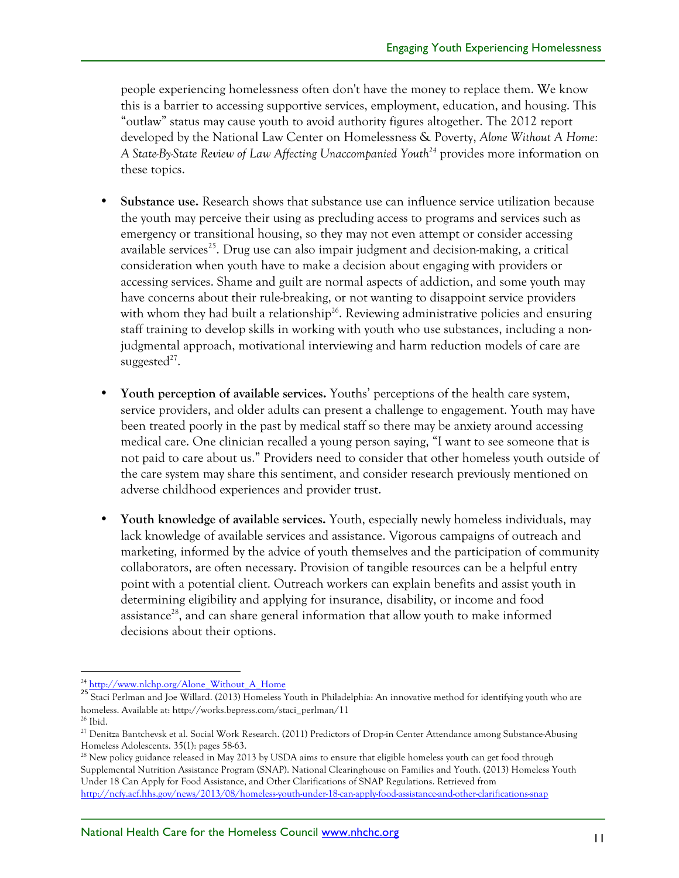people experiencing homelessness often don't have the money to replace them. We know this is a barrier to accessing supportive services, employment, education, and housing. This "outlaw" status may cause youth to avoid authority figures altogether. The 2012 report developed by the National Law Center on Homelessness & Poverty, *Alone Without A Home:*  A State-By-State Review of Law Affecting Unaccompanied Youth<sup>24</sup> provides more information on these topics.

- **Substance use.** Research shows that substance use can influence service utilization because the youth may perceive their using as precluding access to programs and services such as emergency or transitional housing, so they may not even attempt or consider accessing available services<sup>25</sup>. Drug use can also impair judgment and decision-making, a critical consideration when youth have to make a decision about engaging with providers or accessing services. Shame and guilt are normal aspects of addiction, and some youth may have concerns about their rule-breaking, or not wanting to disappoint service providers with whom they had built a relationship<sup>26</sup>. Reviewing administrative policies and ensuring staff training to develop skills in working with youth who use substances, including a nonjudgmental approach, motivational interviewing and harm reduction models of care are suggested<sup>27</sup>.
- **Youth perception of available services.** Youths' perceptions of the health care system, service providers, and older adults can present a challenge to engagement. Youth may have been treated poorly in the past by medical staff so there may be anxiety around accessing medical care. One clinician recalled a young person saying, "I want to see someone that is not paid to care about us." Providers need to consider that other homeless youth outside of the care system may share this sentiment, and consider research previously mentioned on adverse childhood experiences and provider trust.
- **Youth knowledge of available services.** Youth, especially newly homeless individuals, may lack knowledge of available services and assistance. Vigorous campaigns of outreach and marketing, informed by the advice of youth themselves and the participation of community collaborators, are often necessary. Provision of tangible resources can be a helpful entry point with a potential client. Outreach workers can explain benefits and assist youth in determining eligibility and applying for insurance, disability, or income and food assistance<sup>28</sup>, and can share general information that allow youth to make informed decisions about their options.

<sup>&</sup>lt;sup>24</sup> http://www.nlchp.org/Alone\_Without\_A\_Home 25 Staci Perlman and Joe Willard. (2013) Homeless Youth in Philadelphia: An innovative method for identifying youth who are homeless. Available at: http://works.bepress.com/staci\_perlman/11

 $^{\rm 26}$  Ibid.

<sup>&</sup>lt;sup>27</sup> Denitza Bantchevsk et al. Social Work Research. (2011) Predictors of Drop-in Center Attendance among Substance-Abusing Homeless Adolescents. 35(1): pages 58-63.<br><sup>28</sup> New policy guidance released in May 2013 by USDA aims to ensure that eligible homeless youth can get food through

Supplemental Nutrition Assistance Program (SNAP). National Clearinghouse on Families and Youth. (2013) Homeless Youth Under 18 Can Apply for Food Assistance, and Other Clarifications of SNAP Regulations. Retrieved from http://ncfy.acf.hhs.gov/news/2013/08/homeless-youth-under-18-can-apply-food-assistance-and-other-clarifications-snap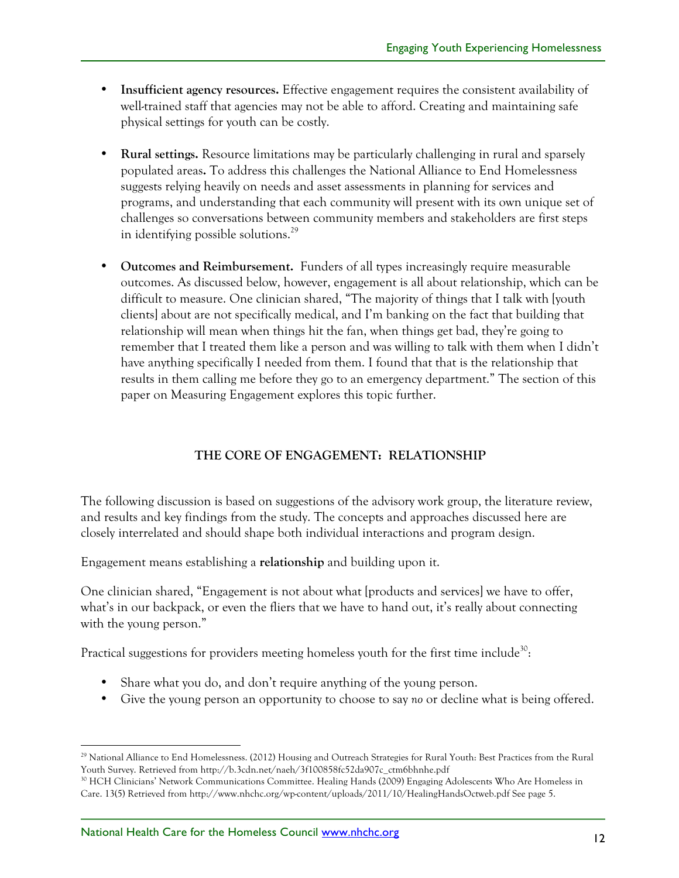- **Insufficient agency resources.** Effective engagement requires the consistent availability of well-trained staff that agencies may not be able to afford. Creating and maintaining safe physical settings for youth can be costly.
- **Rural settings.** Resource limitations may be particularly challenging in rural and sparsely populated areas**.** To address this challenges the National Alliance to End Homelessness suggests relying heavily on needs and asset assessments in planning for services and programs, and understanding that each community will present with its own unique set of challenges so conversations between community members and stakeholders are first steps in identifying possible solutions.29
- **Outcomes and Reimbursement.** Funders of all types increasingly require measurable outcomes. As discussed below, however, engagement is all about relationship, which can be difficult to measure. One clinician shared, "The majority of things that I talk with [youth clients] about are not specifically medical, and I'm banking on the fact that building that relationship will mean when things hit the fan, when things get bad, they're going to remember that I treated them like a person and was willing to talk with them when I didn't have anything specifically I needed from them. I found that that is the relationship that results in them calling me before they go to an emergency department." The section of this paper on Measuring Engagement explores this topic further.

# **THE CORE OF ENGAGEMENT: RELATIONSHIP**

The following discussion is based on suggestions of the advisory work group, the literature review, and results and key findings from the study. The concepts and approaches discussed here are closely interrelated and should shape both individual interactions and program design.

Engagement means establishing a **relationship** and building upon it.

One clinician shared, "Engagement is not about what [products and services] we have to offer, what's in our backpack, or even the fliers that we have to hand out, it's really about connecting with the young person."

Practical suggestions for providers meeting homeless youth for the first time include<sup>30</sup>:

- Share what you do, and don't require anything of the young person.
- Give the young person an opportunity to choose to say *no* or decline what is being offered.

<sup>&</sup>lt;sup>29</sup> National Alliance to End Homelessness. (2012) Housing and Outreach Strategies for Rural Youth: Best Practices from the Rural Youth Survey. Retrieved from http://b.3cdn.net/naeh/3f100858fc52da907c\_ctm6bhnhe.pdf

<sup>30</sup> HCH Clinicians' Network Communications Committee. Healing Hands (2009) Engaging Adolescents Who Are Homeless in Care. 13(5) Retrieved from http://www.nhchc.org/wp-content/uploads/2011/10/HealingHandsOctweb.pdf See page 5.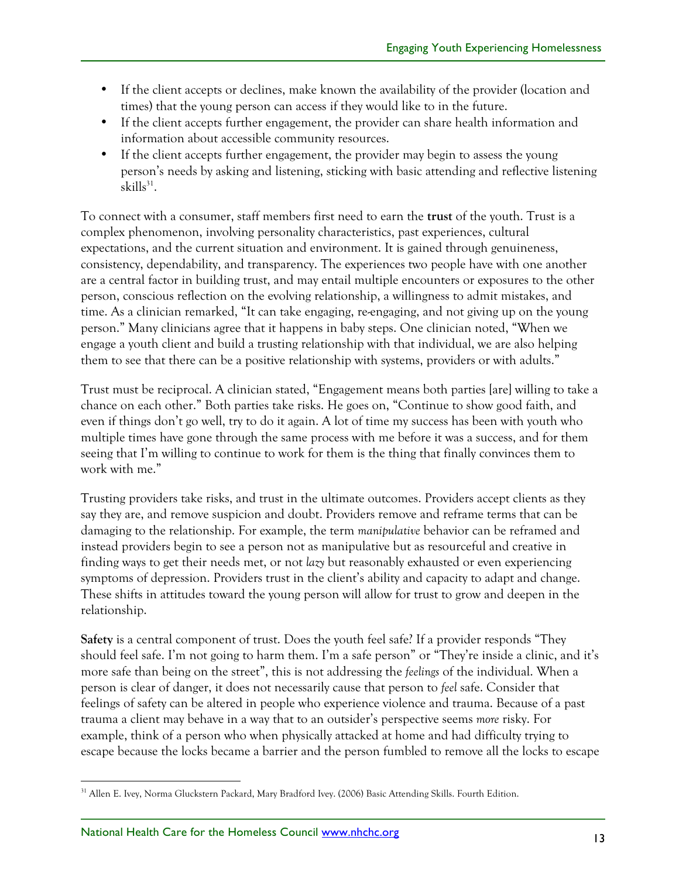- If the client accepts or declines, make known the availability of the provider (location and times) that the young person can access if they would like to in the future.
- If the client accepts further engagement, the provider can share health information and information about accessible community resources.
- If the client accepts further engagement, the provider may begin to assess the young person's needs by asking and listening, sticking with basic attending and reflective listening  $skills^{31}$ .

To connect with a consumer, staff members first need to earn the **trust** of the youth. Trust is a complex phenomenon, involving personality characteristics, past experiences, cultural expectations, and the current situation and environment. It is gained through genuineness, consistency, dependability, and transparency. The experiences two people have with one another are a central factor in building trust, and may entail multiple encounters or exposures to the other person, conscious reflection on the evolving relationship, a willingness to admit mistakes, and time. As a clinician remarked, "It can take engaging, re-engaging, and not giving up on the young person." Many clinicians agree that it happens in baby steps. One clinician noted, "When we engage a youth client and build a trusting relationship with that individual, we are also helping them to see that there can be a positive relationship with systems, providers or with adults."

Trust must be reciprocal. A clinician stated, "Engagement means both parties [are] willing to take a chance on each other." Both parties take risks. He goes on, "Continue to show good faith, and even if things don't go well, try to do it again. A lot of time my success has been with youth who multiple times have gone through the same process with me before it was a success, and for them seeing that I'm willing to continue to work for them is the thing that finally convinces them to work with me."

Trusting providers take risks, and trust in the ultimate outcomes. Providers accept clients as they say they are, and remove suspicion and doubt. Providers remove and reframe terms that can be damaging to the relationship. For example, the term *manipulative* behavior can be reframed and instead providers begin to see a person not as manipulative but as resourceful and creative in finding ways to get their needs met, or not *lazy* but reasonably exhausted or even experiencing symptoms of depression. Providers trust in the client's ability and capacity to adapt and change. These shifts in attitudes toward the young person will allow for trust to grow and deepen in the relationship.

**Safety** is a central component of trust. Does the youth feel safe? If a provider responds "They should feel safe. I'm not going to harm them. I'm a safe person" or "They're inside a clinic, and it's more safe than being on the street", this is not addressing the *feelings* of the individual. When a person is clear of danger, it does not necessarily cause that person to *feel* safe. Consider that feelings of safety can be altered in people who experience violence and trauma. Because of a past trauma a client may behave in a way that to an outsider's perspective seems *more* risky. For example, think of a person who when physically attacked at home and had difficulty trying to escape because the locks became a barrier and the person fumbled to remove all the locks to escape

 <sup>31</sup> Allen E. Ivey, Norma Gluckstern Packard, Mary Bradford Ivey. (2006) Basic Attending Skills. Fourth Edition.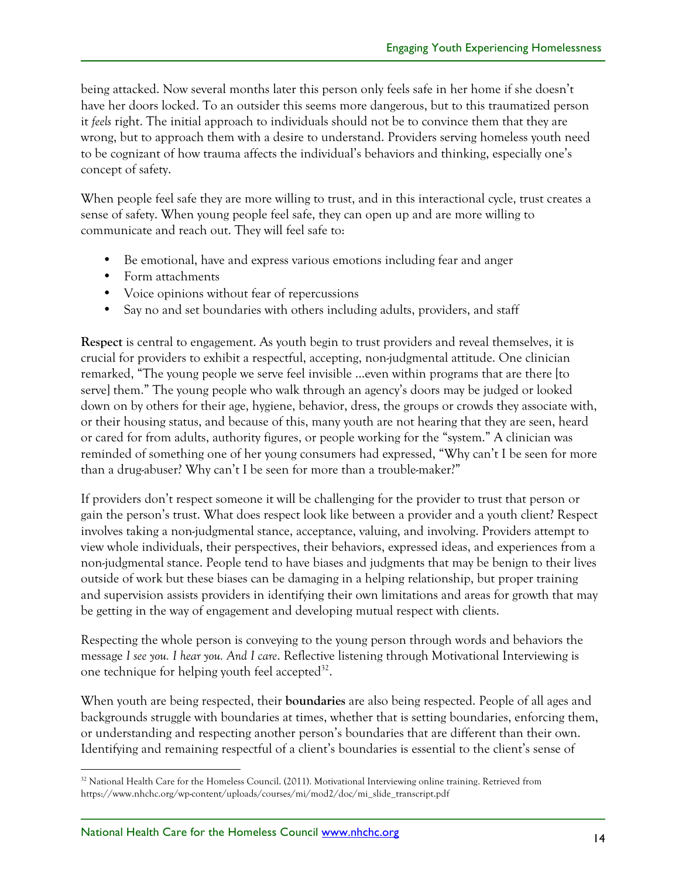being attacked. Now several months later this person only feels safe in her home if she doesn't have her doors locked. To an outsider this seems more dangerous, but to this traumatized person it *feels* right. The initial approach to individuals should not be to convince them that they are wrong, but to approach them with a desire to understand. Providers serving homeless youth need to be cognizant of how trauma affects the individual's behaviors and thinking, especially one's concept of safety.

When people feel safe they are more willing to trust, and in this interactional cycle, trust creates a sense of safety. When young people feel safe, they can open up and are more willing to communicate and reach out. They will feel safe to:

- Be emotional, have and express various emotions including fear and anger
- Form attachments
- Voice opinions without fear of repercussions
- Say no and set boundaries with others including adults, providers, and staff

**Respect** is central to engagement. As youth begin to trust providers and reveal themselves, it is crucial for providers to exhibit a respectful, accepting, non-judgmental attitude. One clinician remarked, "The young people we serve feel invisible …even within programs that are there [to serve] them." The young people who walk through an agency's doors may be judged or looked down on by others for their age, hygiene, behavior, dress, the groups or crowds they associate with, or their housing status, and because of this, many youth are not hearing that they are seen, heard or cared for from adults, authority figures, or people working for the "system." A clinician was reminded of something one of her young consumers had expressed, "Why can't I be seen for more than a drug-abuser? Why can't I be seen for more than a trouble-maker?"

If providers don't respect someone it will be challenging for the provider to trust that person or gain the person's trust. What does respect look like between a provider and a youth client? Respect involves taking a non-judgmental stance, acceptance, valuing, and involving. Providers attempt to view whole individuals, their perspectives, their behaviors, expressed ideas, and experiences from a non-judgmental stance. People tend to have biases and judgments that may be benign to their lives outside of work but these biases can be damaging in a helping relationship, but proper training and supervision assists providers in identifying their own limitations and areas for growth that may be getting in the way of engagement and developing mutual respect with clients.

Respecting the whole person is conveying to the young person through words and behaviors the message *I see you. I hear you. And I care*. Reflective listening through Motivational Interviewing is one technique for helping youth feel accepted $^{32}$ .

When youth are being respected, their **boundaries** are also being respected. People of all ages and backgrounds struggle with boundaries at times, whether that is setting boundaries, enforcing them, or understanding and respecting another person's boundaries that are different than their own. Identifying and remaining respectful of a client's boundaries is essential to the client's sense of

 $32$  National Health Care for the Homeless Council. (2011). Motivational Interviewing online training. Retrieved from https://www.nhchc.org/wp-content/uploads/courses/mi/mod2/doc/mi\_slide\_transcript.pdf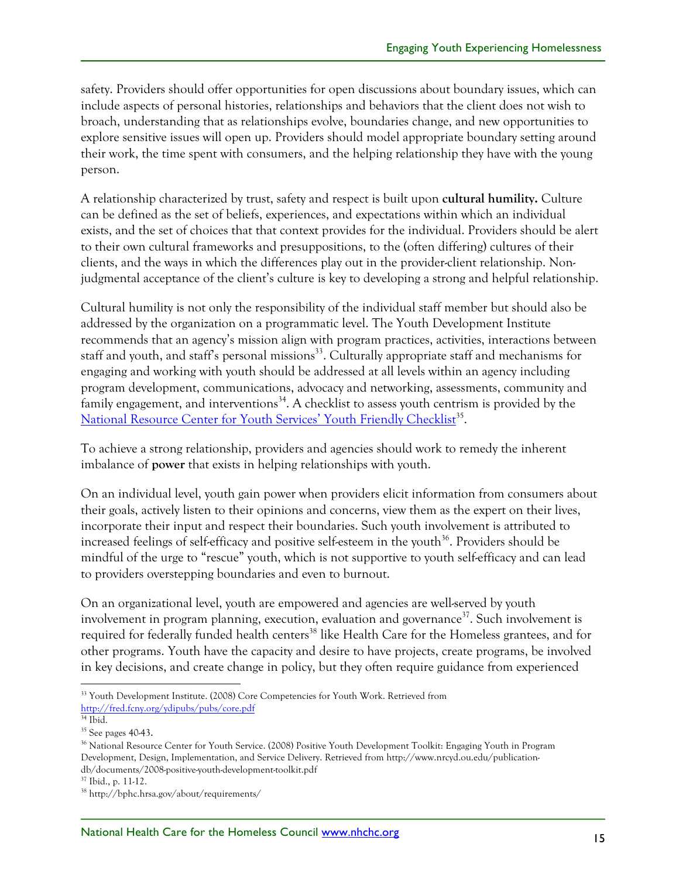safety. Providers should offer opportunities for open discussions about boundary issues, which can include aspects of personal histories, relationships and behaviors that the client does not wish to broach, understanding that as relationships evolve, boundaries change, and new opportunities to explore sensitive issues will open up. Providers should model appropriate boundary setting around their work, the time spent with consumers, and the helping relationship they have with the young person.

A relationship characterized by trust, safety and respect is built upon **cultural humility.** Culture can be defined as the set of beliefs, experiences, and expectations within which an individual exists, and the set of choices that that context provides for the individual. Providers should be alert to their own cultural frameworks and presuppositions, to the (often differing) cultures of their clients, and the ways in which the differences play out in the provider-client relationship. Nonjudgmental acceptance of the client's culture is key to developing a strong and helpful relationship.

Cultural humility is not only the responsibility of the individual staff member but should also be addressed by the organization on a programmatic level. The Youth Development Institute recommends that an agency's mission align with program practices, activities, interactions between staff and youth, and staff's personal missions<sup>33</sup>. Culturally appropriate staff and mechanisms for engaging and working with youth should be addressed at all levels within an agency including program development, communications, advocacy and networking, assessments, community and family engagement, and interventions<sup>34</sup>. A checklist to assess youth centrism is provided by the National Resource Center for Youth Services' Youth Friendly Checklist<sup>35</sup>.

To achieve a strong relationship, providers and agencies should work to remedy the inherent imbalance of **power** that exists in helping relationships with youth.

On an individual level, youth gain power when providers elicit information from consumers about their goals, actively listen to their opinions and concerns, view them as the expert on their lives, incorporate their input and respect their boundaries. Such youth involvement is attributed to increased feelings of self-efficacy and positive self-esteem in the youth $36$ . Providers should be mindful of the urge to "rescue" youth, which is not supportive to youth self-efficacy and can lead to providers overstepping boundaries and even to burnout.

On an organizational level, youth are empowered and agencies are well-served by youth involvement in program planning, execution, evaluation and governance<sup>37</sup>. Such involvement is required for federally funded health centers<sup>38</sup> like Health Care for the Homeless grantees, and for other programs. Youth have the capacity and desire to have projects, create programs, be involved in key decisions, and create change in policy, but they often require guidance from experienced

 <sup>33</sup> Youth Development Institute. (2008) Core Competencies for Youth Work. Retrieved from http://fred.fcny.org/ydipubs/pubs/core.pdf

 $34$  Ibid.

<sup>35</sup> See pages 40-43.

<sup>&</sup>lt;sup>36</sup> National Resource Center for Youth Service. (2008) Positive Youth Development Toolkit: Engaging Youth in Program Development, Design, Implementation, and Service Delivery. Retrieved from http://www.nrcyd.ou.edu/publicationdb/documents/2008-positive-youth-development-toolkit.pdf

<sup>37</sup> Ibid., p. 11-12.

<sup>38</sup> http://bphc.hrsa.gov/about/requirements/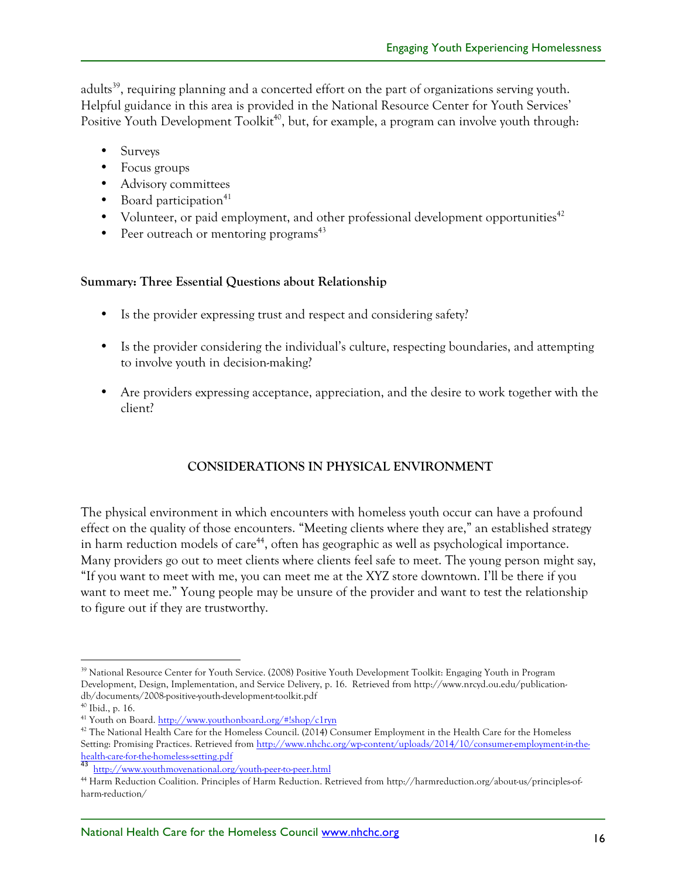adults<sup>39</sup>, requiring planning and a concerted effort on the part of organizations serving youth. Helpful guidance in this area is provided in the National Resource Center for Youth Services' Positive Youth Development Toolkit<sup>40</sup>, but, for example, a program can involve youth through:

- Surveys
- Focus groups
- Advisory committees
- Board participation<sup>41</sup>
- Volunteer, or paid employment, and other professional development opportunities<sup>42</sup>
- Peer outreach or mentoring programs<sup> $43$ </sup>

## **Summary: Three Essential Questions about Relationship**

- Is the provider expressing trust and respect and considering safety?
- Is the provider considering the individual's culture, respecting boundaries, and attempting to involve youth in decision-making?
- Are providers expressing acceptance, appreciation, and the desire to work together with the client?

# **CONSIDERATIONS IN PHYSICAL ENVIRONMENT**

The physical environment in which encounters with homeless youth occur can have a profound effect on the quality of those encounters. "Meeting clients where they are," an established strategy in harm reduction models of care<sup>44</sup>, often has geographic as well as psychological importance. Many providers go out to meet clients where clients feel safe to meet. The young person might say, "If you want to meet with me, you can meet me at the XYZ store downtown. I'll be there if you want to meet me." Young people may be unsure of the provider and want to test the relationship to figure out if they are trustworthy.

<sup>&</sup>lt;sup>39</sup> National Resource Center for Youth Service. (2008) Positive Youth Development Toolkit: Engaging Youth in Program Development, Design, Implementation, and Service Delivery, p. 16. Retrieved from http://www.nrcyd.ou.edu/publicationdb/documents/2008-positive-youth-development-toolkit.pdf

<sup>40</sup> Ibid., p. 16.

<sup>41</sup> Youth on Board. http://www.youthonboard.org/#!shop/c1ryn

<sup>&</sup>lt;sup>42</sup> The National Health Care for the Homeless Council. (2014) Consumer Employment in the Health Care for the Homeless Setting: Promising Practices. Retrieved from http://www.nhchc.org/wp-content/uploads/2014/10/consumer-employment-in-the-

health-care-for-the-homeless-setting.port<br>43 http://www.youthmovenational.org/youth-peer-to-peer.html

<sup>44</sup> Harm Reduction Coalition. Principles of Harm Reduction. Retrieved from http://harmreduction.org/about-us/principles-ofharm-reduction/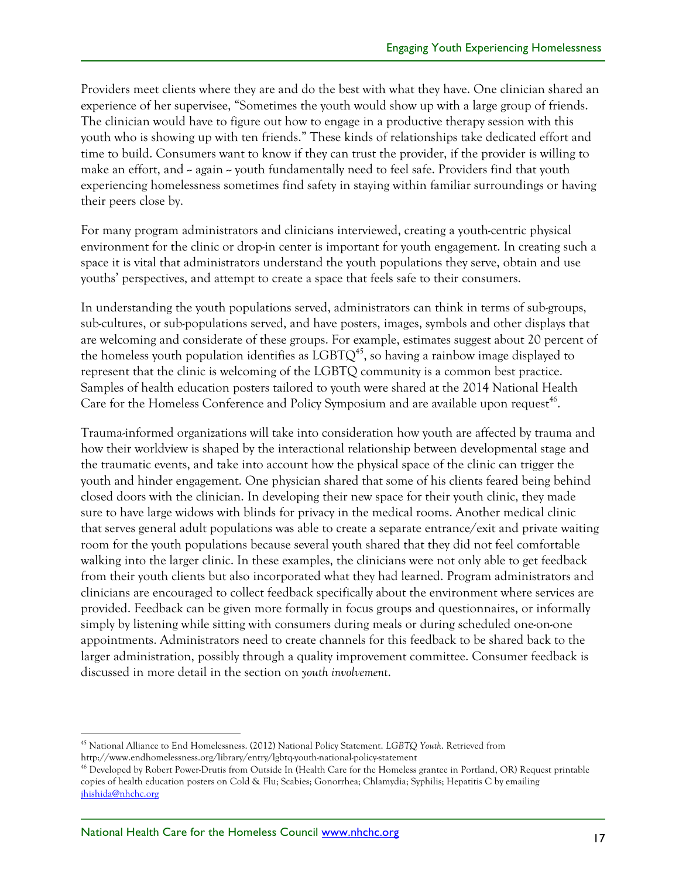Providers meet clients where they are and do the best with what they have. One clinician shared an experience of her supervisee, "Sometimes the youth would show up with a large group of friends. The clinician would have to figure out how to engage in a productive therapy session with this youth who is showing up with ten friends." These kinds of relationships take dedicated effort and time to build. Consumers want to know if they can trust the provider, if the provider is willing to make an effort, and  $\sim$  again  $\sim$  youth fundamentally need to feel safe. Providers find that youth experiencing homelessness sometimes find safety in staying within familiar surroundings or having their peers close by.

For many program administrators and clinicians interviewed, creating a youth-centric physical environment for the clinic or drop-in center is important for youth engagement. In creating such a space it is vital that administrators understand the youth populations they serve, obtain and use youths' perspectives, and attempt to create a space that feels safe to their consumers.

In understanding the youth populations served, administrators can think in terms of sub-groups, sub-cultures, or sub-populations served, and have posters, images, symbols and other displays that are welcoming and considerate of these groups. For example, estimates suggest about 20 percent of the homeless youth population identifies as  $LGBTQ^{45}$ , so having a rainbow image displayed to represent that the clinic is welcoming of the LGBTQ community is a common best practice. Samples of health education posters tailored to youth were shared at the 2014 National Health Care for the Homeless Conference and Policy Symposium and are available upon request<sup>46</sup>.

Trauma-informed organizations will take into consideration how youth are affected by trauma and how their worldview is shaped by the interactional relationship between developmental stage and the traumatic events, and take into account how the physical space of the clinic can trigger the youth and hinder engagement. One physician shared that some of his clients feared being behind closed doors with the clinician. In developing their new space for their youth clinic, they made sure to have large widows with blinds for privacy in the medical rooms. Another medical clinic that serves general adult populations was able to create a separate entrance/exit and private waiting room for the youth populations because several youth shared that they did not feel comfortable walking into the larger clinic. In these examples, the clinicians were not only able to get feedback from their youth clients but also incorporated what they had learned. Program administrators and clinicians are encouraged to collect feedback specifically about the environment where services are provided. Feedback can be given more formally in focus groups and questionnaires, or informally simply by listening while sitting with consumers during meals or during scheduled one-on-one appointments. Administrators need to create channels for this feedback to be shared back to the larger administration, possibly through a quality improvement committee. Consumer feedback is discussed in more detail in the section on *youth involvement*.

 <sup>45</sup> National Alliance to End Homelessness. (2012) National Policy Statement. *LGBTQ Youth*. Retrieved from http://www.endhomelessness.org/library/entry/lgbtq-youth-national-policy-statement

<sup>46</sup> Developed by Robert Power-Drutis from Outside In (Health Care for the Homeless grantee in Portland, OR) Request printable copies of health education posters on Cold & Flu; Scabies; Gonorrhea; Chlamydia; Syphilis; Hepatitis C by emailing jhishida@nhchc.org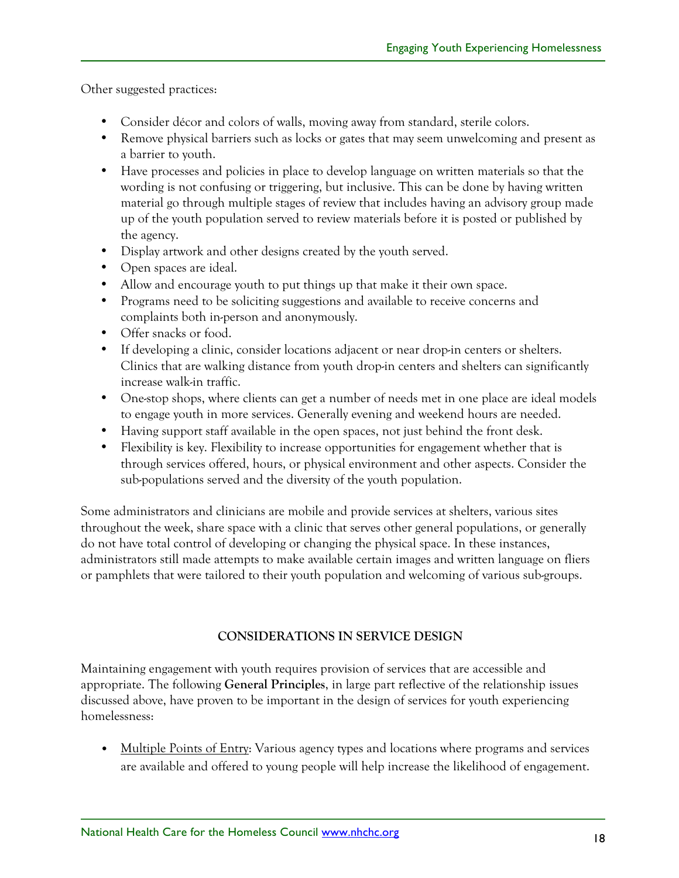Other suggested practices:

- Consider décor and colors of walls, moving away from standard, sterile colors.
- Remove physical barriers such as locks or gates that may seem unwelcoming and present as a barrier to youth.
- Have processes and policies in place to develop language on written materials so that the wording is not confusing or triggering, but inclusive. This can be done by having written material go through multiple stages of review that includes having an advisory group made up of the youth population served to review materials before it is posted or published by the agency.
- Display artwork and other designs created by the youth served.
- Open spaces are ideal.
- Allow and encourage youth to put things up that make it their own space.
- Programs need to be soliciting suggestions and available to receive concerns and complaints both in-person and anonymously.
- Offer snacks or food.
- If developing a clinic, consider locations adjacent or near drop-in centers or shelters. Clinics that are walking distance from youth drop-in centers and shelters can significantly increase walk-in traffic.
- One-stop shops, where clients can get a number of needs met in one place are ideal models to engage youth in more services. Generally evening and weekend hours are needed.
- Having support staff available in the open spaces, not just behind the front desk.
- Flexibility is key. Flexibility to increase opportunities for engagement whether that is through services offered, hours, or physical environment and other aspects. Consider the sub-populations served and the diversity of the youth population.

Some administrators and clinicians are mobile and provide services at shelters, various sites throughout the week, share space with a clinic that serves other general populations, or generally do not have total control of developing or changing the physical space. In these instances, administrators still made attempts to make available certain images and written language on fliers or pamphlets that were tailored to their youth population and welcoming of various sub-groups.

#### **CONSIDERATIONS IN SERVICE DESIGN**

Maintaining engagement with youth requires provision of services that are accessible and appropriate. The following **General Principles**, in large part reflective of the relationship issues discussed above, have proven to be important in the design of services for youth experiencing homelessness:

• Multiple Points of Entry: Various agency types and locations where programs and services are available and offered to young people will help increase the likelihood of engagement.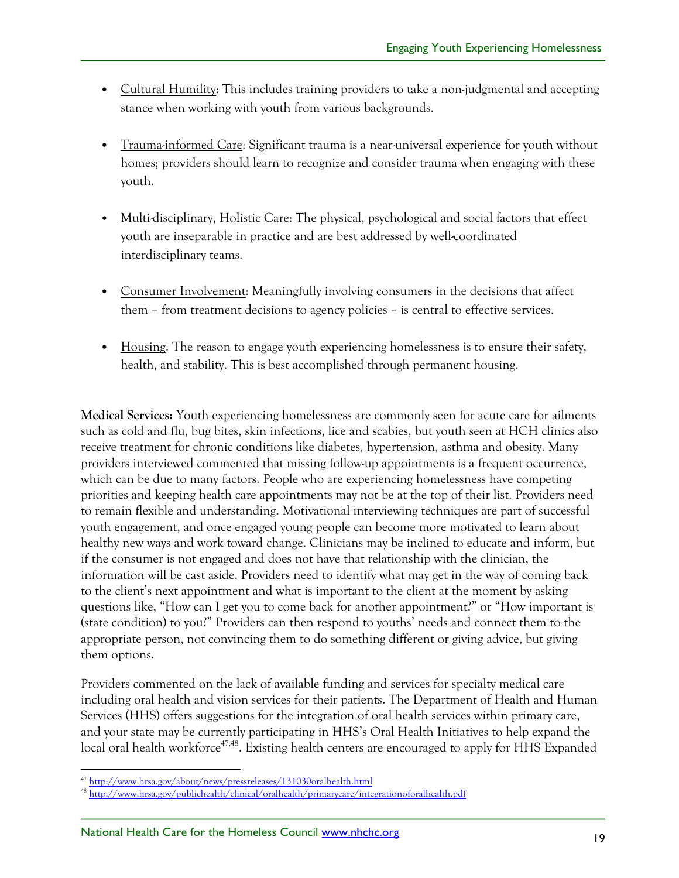- Cultural Humility: This includes training providers to take a non-judgmental and accepting stance when working with youth from various backgrounds.
- Trauma-informed Care: Significant trauma is a near-universal experience for youth without homes; providers should learn to recognize and consider trauma when engaging with these youth.
- Multi-disciplinary, Holistic Care: The physical, psychological and social factors that effect youth are inseparable in practice and are best addressed by well-coordinated interdisciplinary teams.
- Consumer Involvement: Meaningfully involving consumers in the decisions that affect them – from treatment decisions to agency policies – is central to effective services.
- Housing: The reason to engage youth experiencing homelessness is to ensure their safety, health, and stability. This is best accomplished through permanent housing.

**Medical Services:** Youth experiencing homelessness are commonly seen for acute care for ailments such as cold and flu, bug bites, skin infections, lice and scabies, but youth seen at HCH clinics also receive treatment for chronic conditions like diabetes, hypertension, asthma and obesity. Many providers interviewed commented that missing follow-up appointments is a frequent occurrence, which can be due to many factors. People who are experiencing homelessness have competing priorities and keeping health care appointments may not be at the top of their list. Providers need to remain flexible and understanding. Motivational interviewing techniques are part of successful youth engagement, and once engaged young people can become more motivated to learn about healthy new ways and work toward change. Clinicians may be inclined to educate and inform, but if the consumer is not engaged and does not have that relationship with the clinician, the information will be cast aside. Providers need to identify what may get in the way of coming back to the client's next appointment and what is important to the client at the moment by asking questions like, "How can I get you to come back for another appointment?" or "How important is (state condition) to you?" Providers can then respond to youths' needs and connect them to the appropriate person, not convincing them to do something different or giving advice, but giving them options.

Providers commented on the lack of available funding and services for specialty medical care including oral health and vision services for their patients. The Department of Health and Human Services (HHS) offers suggestions for the integration of oral health services within primary care, and your state may be currently participating in HHS's Oral Health Initiatives to help expand the local oral health workforce<sup>47,48</sup>. Existing health centers are encouraged to apply for HHS Expanded

 <sup>47</sup> http://www.hrsa.gov/about/news/pressreleases/131030oralhealth.html

<sup>48</sup> http://www.hrsa.gov/publichealth/clinical/oralhealth/primarycare/integrationoforalhealth.pdf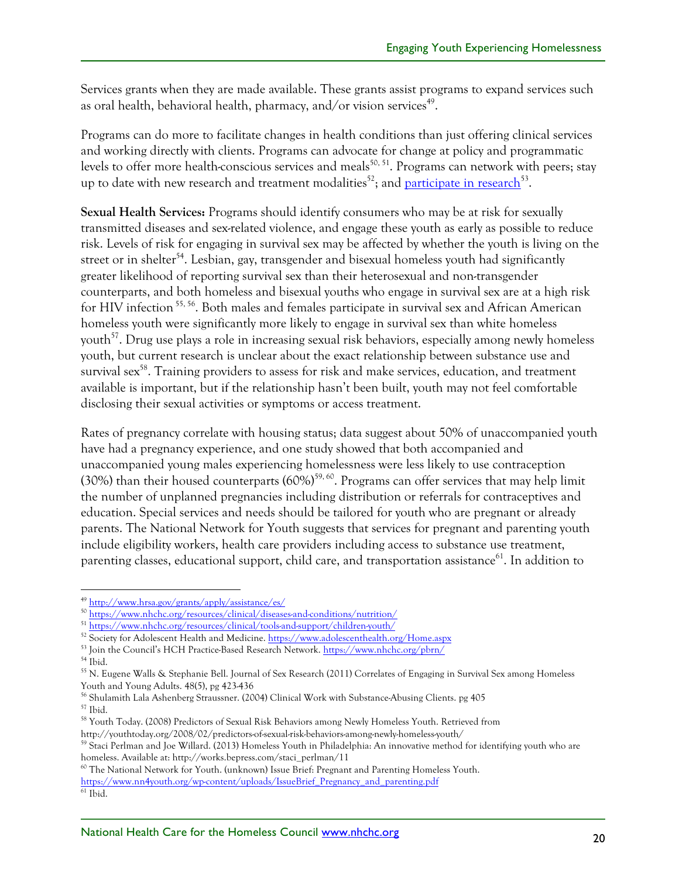Services grants when they are made available. These grants assist programs to expand services such as oral health, behavioral health, pharmacy, and/or vision services<sup>49</sup>.

Programs can do more to facilitate changes in health conditions than just offering clinical services and working directly with clients. Programs can advocate for change at policy and programmatic levels to offer more health-conscious services and meals<sup>50, 51</sup>. Programs can network with peers; stay up to date with new research and treatment modalities<sup>52</sup>; and participate in research<sup>53</sup>.

**Sexual Health Services:** Programs should identify consumers who may be at risk for sexually transmitted diseases and sex-related violence, and engage these youth as early as possible to reduce risk. Levels of risk for engaging in survival sex may be affected by whether the youth is living on the street or in shelter<sup>54</sup>. Lesbian, gay, transgender and bisexual homeless youth had significantly greater likelihood of reporting survival sex than their heterosexual and non-transgender counterparts, and both homeless and bisexual youths who engage in survival sex are at a high risk for HIV infection<sup>55, 56</sup>. Both males and females participate in survival sex and African American homeless youth were significantly more likely to engage in survival sex than white homeless youth $57$ . Drug use plays a role in increasing sexual risk behaviors, especially among newly homeless youth, but current research is unclear about the exact relationship between substance use and survival sex<sup>58</sup>. Training providers to assess for risk and make services, education, and treatment available is important, but if the relationship hasn't been built, youth may not feel comfortable disclosing their sexual activities or symptoms or access treatment.

Rates of pregnancy correlate with housing status; data suggest about 50% of unaccompanied youth have had a pregnancy experience, and one study showed that both accompanied and unaccompanied young males experiencing homelessness were less likely to use contraception (30%) than their housed counterparts  $(60\%)^{59,60}$ . Programs can offer services that may help limit the number of unplanned pregnancies including distribution or referrals for contraceptives and education. Special services and needs should be tailored for youth who are pregnant or already parents. The National Network for Youth suggests that services for pregnant and parenting youth include eligibility workers, health care providers including access to substance use treatment, parenting classes, educational support, child care, and transportation assistance<sup>61</sup>. In addition to

https://www.nn4youth.org/wp-content/uploads/IssueBrief\_Pregnancy\_and\_parenting.pdf

 <sup>49</sup> http://www.hrsa.gov/grants/apply/assistance/es/

<sup>50</sup> https://www.nhchc.org/resources/clinical/diseases-and-conditions/nutrition/

<sup>51</sup> https://www.nhchc.org/resources/clinical/tools-and-support/children-youth/

<sup>52</sup> Society for Adolescent Health and Medicine. https://www.adolescenthealth.org/Home.aspx

<sup>53</sup> Join the Council's HCH Practice-Based Research Network. https://www.nhchc.org/pbrn/

 $^{\rm 54}$  Ibid.

<sup>55</sup> N. Eugene Walls & Stephanie Bell. Journal of Sex Research (2011) Correlates of Engaging in Survival Sex among Homeless Youth and Young Adults. 48(5), pg 423-436

<sup>56</sup> Shulamith Lala Ashenberg Straussner. (2004) Clinical Work with Substance-Abusing Clients. pg 405 <sup>57</sup> Ibid.

<sup>58</sup> Youth Today. (2008) Predictors of Sexual Risk Behaviors among Newly Homeless Youth. Retrieved from http://youthtoday.org/2008/02/predictors-of-sexual-risk-behaviors-among-newly-homeless-youth/

<sup>&</sup>lt;sup>59</sup> Staci Perlman and Joe Willard. (2013) Homeless Youth in Philadelphia: An innovative method for identifying youth who are homeless. Available at: http://works.bepress.com/staci\_perlman/11

<sup>60</sup> The National Network for Youth. (unknown) Issue Brief: Pregnant and Parenting Homeless Youth.

 $61$  Ibid.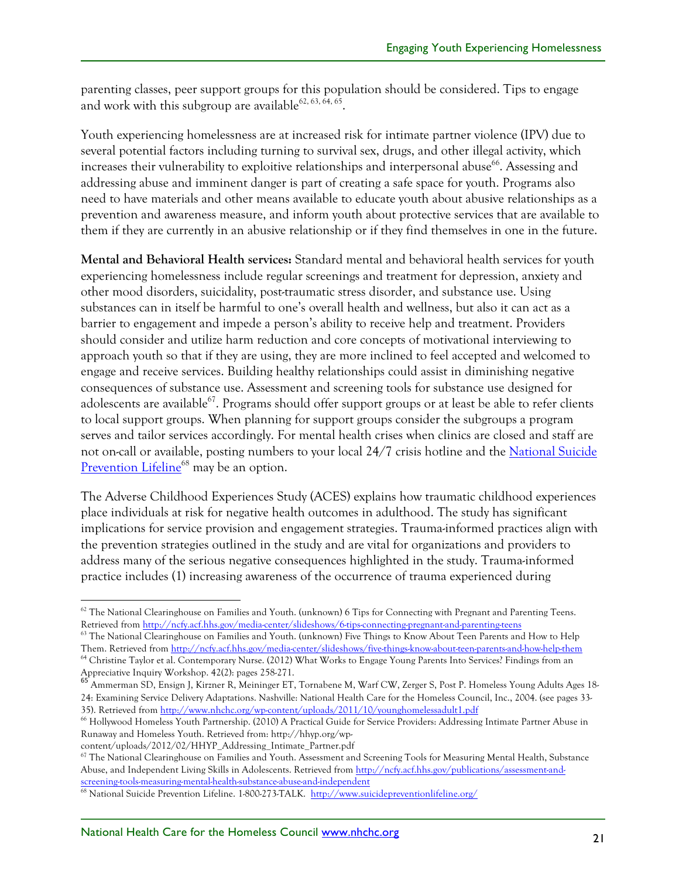parenting classes, peer support groups for this population should be considered. Tips to engage and work with this subgroup are available<sup>62, 63, 64, 65</sup>.

Youth experiencing homelessness are at increased risk for intimate partner violence (IPV) due to several potential factors including turning to survival sex, drugs, and other illegal activity, which increases their vulnerability to exploitive relationships and interpersonal abuse<sup>66</sup>. Assessing and addressing abuse and imminent danger is part of creating a safe space for youth. Programs also need to have materials and other means available to educate youth about abusive relationships as a prevention and awareness measure, and inform youth about protective services that are available to them if they are currently in an abusive relationship or if they find themselves in one in the future.

**Mental and Behavioral Health services:** Standard mental and behavioral health services for youth experiencing homelessness include regular screenings and treatment for depression, anxiety and other mood disorders, suicidality, post-traumatic stress disorder, and substance use. Using substances can in itself be harmful to one's overall health and wellness, but also it can act as a barrier to engagement and impede a person's ability to receive help and treatment. Providers should consider and utilize harm reduction and core concepts of motivational interviewing to approach youth so that if they are using, they are more inclined to feel accepted and welcomed to engage and receive services. Building healthy relationships could assist in diminishing negative consequences of substance use. Assessment and screening tools for substance use designed for adolescents are available<sup>67</sup>. Programs should offer support groups or at least be able to refer clients to local support groups. When planning for support groups consider the subgroups a program serves and tailor services accordingly. For mental health crises when clinics are closed and staff are not on-call or available, posting numbers to your local 24/7 crisis hotline and the National Suicide Prevention Lifeline<sup>68</sup> may be an option.

The Adverse Childhood Experiences Study (ACES) explains how traumatic childhood experiences place individuals at risk for negative health outcomes in adulthood. The study has significant implications for service provision and engagement strategies. Trauma-informed practices align with the prevention strategies outlined in the study and are vital for organizations and providers to address many of the serious negative consequences highlighted in the study. Trauma-informed practice includes (1) increasing awareness of the occurrence of trauma experienced during

 $62$  The National Clearinghouse on Families and Youth. (unknown) 6 Tips for Connecting with Pregnant and Parenting Teens. Retrieved from http://ncfy.acf.hhs.gov/media-center/slideshows/6-tips-connecting-pregnant-and-parenting-teens

 $63$  The National Clearinghouse on Families and Youth. (unknown) Five Things to Know About Teen Parents and How to Help Them. Retrieved from http://ncfy.acf.hhs.gov/media-center/slideshows/five-things-know-about-teen-parents-and-how-help-them <sup>64</sup> Christine Taylor et al. Contemporary Nurse. (2012) What Works to Engage Young Parents Into Services? Findings from an

Appreciative Inquiry Workshop. 42(2): pages 258-271.<br><sup>65</sup> Ammerman SD, Ensign J, Kirzner R, Meininger ET, Tornabene M, Warf CW, Zerger S, Post P. Homeless Young Adults Ages 18-24: Examining Service Delivery Adaptations. Nashville: National Health Care for the Homeless Council, Inc., 2004. (see pages 33- 35). Retrieved from http://www.nhchc.org/wp-content/uploads/2011/10/younghomelessadult1.pdf

<sup>66</sup> Hollywood Homeless Youth Partnership. (2010) A Practical Guide for Service Providers: Addressing Intimate Partner Abuse in Runaway and Homeless Youth. Retrieved from: http://hhyp.org/wp-

content/uploads/2012/02/HHYP\_Addressing\_Intimate\_Partner.pdf

 $67$  The National Clearinghouse on Families and Youth. Assessment and Screening Tools for Measuring Mental Health, Substance Abuse, and Independent Living Skills in Adolescents. Retrieved from http://ncfy.acf.hhs.gov/publications/assessment-andscreening-tools-measuring-mental-health-substance-abuse-and-independent

<sup>68</sup> National Suicide Prevention Lifeline. 1-800-273-TALK. http://www.suicidepreventionlifeline.org/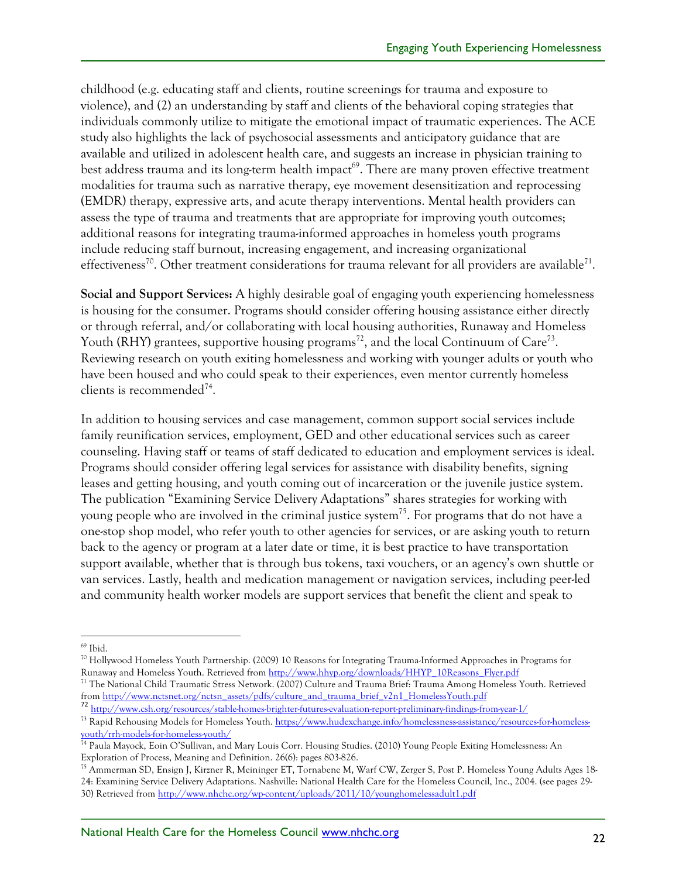childhood (e.g. educating staff and clients, routine screenings for trauma and exposure to violence), and (2) an understanding by staff and clients of the behavioral coping strategies that individuals commonly utilize to mitigate the emotional impact of traumatic experiences. The ACE study also highlights the lack of psychosocial assessments and anticipatory guidance that are available and utilized in adolescent health care, and suggests an increase in physician training to best address trauma and its long-term health impact<sup>69</sup>. There are many proven effective treatment modalities for trauma such as narrative therapy, eye movement desensitization and reprocessing (EMDR) therapy, expressive arts, and acute therapy interventions. Mental health providers can assess the type of trauma and treatments that are appropriate for improving youth outcomes; additional reasons for integrating trauma-informed approaches in homeless youth programs include reducing staff burnout, increasing engagement, and increasing organizational effectiveness<sup>70</sup>. Other treatment considerations for trauma relevant for all providers are available<sup>71</sup>.

**Social and Support Services:** A highly desirable goal of engaging youth experiencing homelessness is housing for the consumer. Programs should consider offering housing assistance either directly or through referral, and/or collaborating with local housing authorities, Runaway and Homeless Youth (RHY) grantees, supportive housing programs<sup>72</sup>, and the local Continuum of Care<sup>73</sup>. Reviewing research on youth exiting homelessness and working with younger adults or youth who have been housed and who could speak to their experiences, even mentor currently homeless clients is recommended<sup>74</sup>.

In addition to housing services and case management, common support social services include family reunification services, employment, GED and other educational services such as career counseling. Having staff or teams of staff dedicated to education and employment services is ideal. Programs should consider offering legal services for assistance with disability benefits, signing leases and getting housing, and youth coming out of incarceration or the juvenile justice system. The publication "Examining Service Delivery Adaptations" shares strategies for working with young people who are involved in the criminal justice system<sup>75</sup>. For programs that do not have a one-stop shop model, who refer youth to other agencies for services, or are asking youth to return back to the agency or program at a later date or time, it is best practice to have transportation support available, whether that is through bus tokens, taxi vouchers, or an agency's own shuttle or van services. Lastly, health and medication management or navigation services, including peer-led and community health worker models are support services that benefit the client and speak to

<sup>&</sup>lt;sup>69</sup> Ibid.

<sup>70</sup> Hollywood Homeless Youth Partnership. (2009) 10 Reasons for Integrating Trauma-Informed Approaches in Programs for Runaway and Homeless Youth. Retrieved from http://www.hhyp.org/downloads/HHYP\_10Reasons\_Flyer.pdf

<sup>&</sup>lt;sup>71</sup> The National Child Traumatic Stress Network. (2007) Culture and Trauma Brief: Trauma Among Homeless Youth. Retrieved from http://www.nctsnet.org/nctsn\_assets/pdfs/culture\_and\_trauma\_brief\_v2n1\_HomelessYouth.pdf <sup>72</sup> http://www.csh.org/resources/stable-homes-brighter-futures-evaluation-report-preliminary-findings-from-year-1/

<sup>73</sup> Rapid Rehousing Models for Homeless Youth. https://www.hudexchange.info/homelessness-assistance/resources-for-homeless-

youth/rrh-models-for-homeless-youth/ <sup>74</sup> Paula Mayock, Eoin O'Sullivan, and Mary Louis Corr. Housing Studies. (2010) Young People Exiting Homelessness: An Exploration of Process, Meaning and Definition. 26(6): pages 803-826.

<sup>75</sup> Ammerman SD, Ensign J, Kirzner R, Meininger ET, Tornabene M, Warf CW, Zerger S, Post P. Homeless Young Adults Ages 18- 24: Examining Service Delivery Adaptations. Nashville: National Health Care for the Homeless Council, Inc., 2004. (see pages 29- 30) Retrieved from http://www.nhchc.org/wp-content/uploads/2011/10/younghomelessadult1.pdf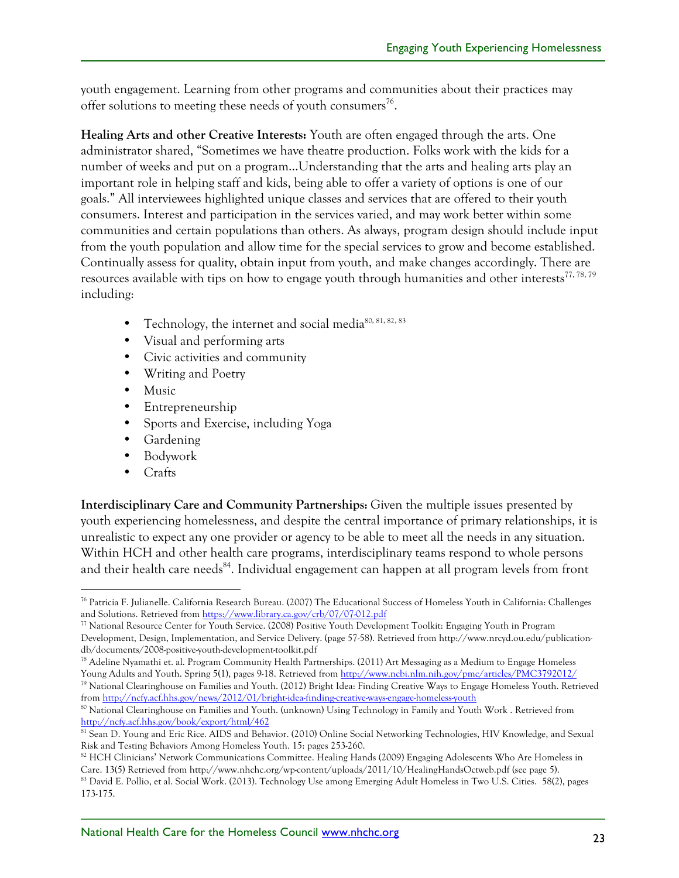youth engagement. Learning from other programs and communities about their practices may offer solutions to meeting these needs of youth consumers<sup>76</sup>.

**Healing Arts and other Creative Interests:** Youth are often engaged through the arts. One administrator shared, "Sometimes we have theatre production. Folks work with the kids for a number of weeks and put on a program…Understanding that the arts and healing arts play an important role in helping staff and kids, being able to offer a variety of options is one of our goals." All interviewees highlighted unique classes and services that are offered to their youth consumers. Interest and participation in the services varied, and may work better within some communities and certain populations than others. As always, program design should include input from the youth population and allow time for the special services to grow and become established. Continually assess for quality, obtain input from youth, and make changes accordingly. There are resources available with tips on how to engage youth through humanities and other interests<sup>77, 78, 79</sup> including:

- Technology, the internet and social media<sup>80, 81, 82, 83</sup>
- Visual and performing arts
- Civic activities and community
- Writing and Poetry
- Music
- Entrepreneurship
- Sports and Exercise, including Yoga
- Gardening
- Bodywork
- Crafts

**Interdisciplinary Care and Community Partnerships:** Given the multiple issues presented by youth experiencing homelessness, and despite the central importance of primary relationships, it is unrealistic to expect any one provider or agency to be able to meet all the needs in any situation. Within HCH and other health care programs, interdisciplinary teams respond to whole persons and their health care needs<sup>84</sup>. Individual engagement can happen at all program levels from front

<sup>78</sup> Adeline Nyamathi et. al. Program Community Health Partnerships. (2011) Art Messaging as a Medium to Engage Homeless Young Adults and Youth. Spring 5(1), pages 9-18. Retrieved from http://www.ncbi.nlm.nih.gov/pmc/articles/PMC3792012/

<sup>79</sup> National Clearinghouse on Families and Youth. (2012) Bright Idea: Finding Creative Ways to Engage Homeless Youth. Retrieved from http://ncfy.acf.hhs.gov/news/2012/01/bright-idea-finding-creative-ways-engage-homeless-youth

 <sup>76</sup> Patricia F. Julianelle. California Research Bureau. (2007) The Educational Success of Homeless Youth in California: Challenges and Solutions. Retrieved from https://www.library.ca.gov/crb/07/07-012.pdf

<sup>77</sup> National Resource Center for Youth Service. (2008) Positive Youth Development Toolkit: Engaging Youth in Program Development, Design, Implementation, and Service Delivery. (page 57-58). Retrieved from http://www.nrcyd.ou.edu/publicationdb/documents/2008-positive-youth-development-toolkit.pdf

<sup>80</sup> National Clearinghouse on Families and Youth. (unknown) Using Technology in Family and Youth Work. Retrieved from http://ncfy.acf.hhs.gov/book/export/html/462

<sup>81</sup> Sean D. Young and Eric Rice. AIDS and Behavior. (2010) Online Social Networking Technologies, HIV Knowledge, and Sexual Risk and Testing Behaviors Among Homeless Youth. 15: pages 253-260.

<sup>&</sup>lt;sup>82</sup> HCH Clinicians' Network Communications Committee. Healing Hands (2009) Engaging Adolescents Who Are Homeless in Care. 13(5) Retrieved from http://www.nhchc.org/wp-content/uploads/2011/10/HealingHandsOctweb.pdf (see page 5).<br><sup>83</sup> David E. Pollio, et al. Social Work. (2013). Technology Use among Emerging Adult Homeless in Two U.S. Cit

<sup>173-175.</sup>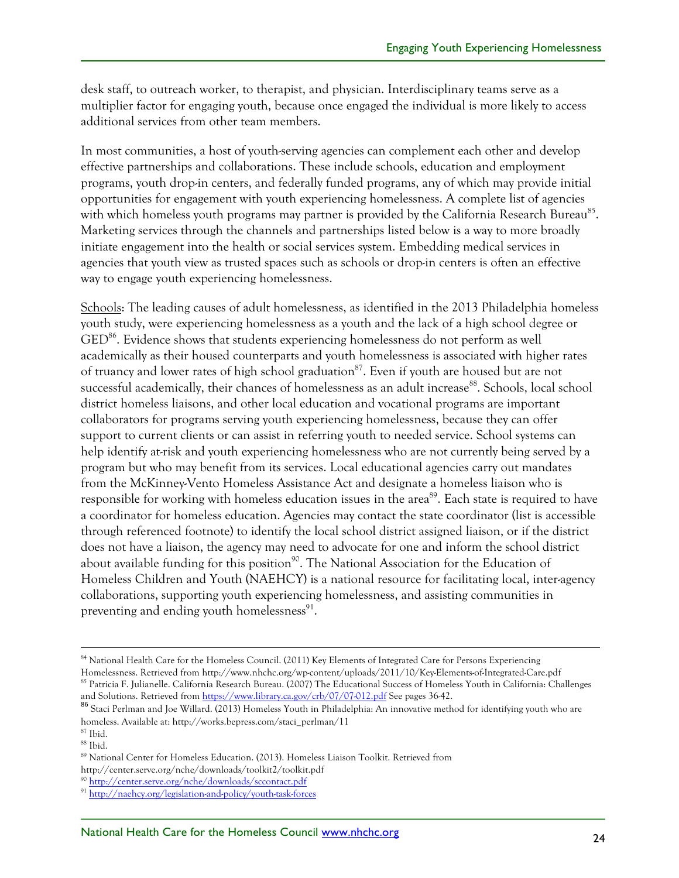desk staff, to outreach worker, to therapist, and physician. Interdisciplinary teams serve as a multiplier factor for engaging youth, because once engaged the individual is more likely to access additional services from other team members.

In most communities, a host of youth-serving agencies can complement each other and develop effective partnerships and collaborations. These include schools, education and employment programs, youth drop-in centers, and federally funded programs, any of which may provide initial opportunities for engagement with youth experiencing homelessness. A complete list of agencies with which homeless youth programs may partner is provided by the California Research Bureau<sup>85</sup>. Marketing services through the channels and partnerships listed below is a way to more broadly initiate engagement into the health or social services system. Embedding medical services in agencies that youth view as trusted spaces such as schools or drop-in centers is often an effective way to engage youth experiencing homelessness.

Schools: The leading causes of adult homelessness, as identified in the 2013 Philadelphia homeless youth study, were experiencing homelessness as a youth and the lack of a high school degree or GED<sup>86</sup>. Evidence shows that students experiencing homelessness do not perform as well academically as their housed counterparts and youth homelessness is associated with higher rates of truancy and lower rates of high school graduation<sup>87</sup>. Even if youth are housed but are not successful academically, their chances of homelessness as an adult increase<sup>88</sup>. Schools, local school district homeless liaisons, and other local education and vocational programs are important collaborators for programs serving youth experiencing homelessness, because they can offer support to current clients or can assist in referring youth to needed service. School systems can help identify at-risk and youth experiencing homelessness who are not currently being served by a program but who may benefit from its services. Local educational agencies carry out mandates from the McKinney-Vento Homeless Assistance Act and designate a homeless liaison who is responsible for working with homeless education issues in the area<sup>89</sup>. Each state is required to have a coordinator for homeless education. Agencies may contact the state coordinator (list is accessible through referenced footnote) to identify the local school district assigned liaison, or if the district does not have a liaison, the agency may need to advocate for one and inform the school district about available funding for this position<sup>90</sup>. The National Association for the Education of Homeless Children and Youth (NAEHCY) is a national resource for facilitating local, inter-agency collaborations, supporting youth experiencing homelessness, and assisting communities in preventing and ending youth homelessness $91$ .

<sup>&</sup>lt;sup>84</sup> National Health Care for the Homeless Council. (2011) Key Elements of Integrated Care for Persons Experiencing Homelessness. Retrieved from http://www.nhchc.org/wp-content/uploads/2011/10/Key-Elements-of-Integrated-Care.pdf <sup>85</sup> Patricia F. Julianelle. California Research Bureau. (2007) The Educational Success of Homeless Youth in California: Challenges

and Solutions. Retrieved from <u>https://www.library.ca.gov/crb/07/07-012.pdf</u> See pages 36-42. 86 Staci Perlman and Joe Willard. (2013) Homeless Youth in Philadelphia: An innovative method for identifying youth who are homeless. Available at: http://works.bepress.com/staci\_perlman/11

<sup>87</sup> Ibid.

<sup>88</sup> Ibid.

<sup>89</sup> National Center for Homeless Education. (2013). Homeless Liaison Toolkit. Retrieved from

http://center.serve.org/nche/downloads/toolkit2/toolkit.pdf

<sup>90</sup> http://center.serve.org/nche/downloads/sccontact.pdf

<sup>91</sup> http://naehcy.org/legislation-and-policy/youth-task-forces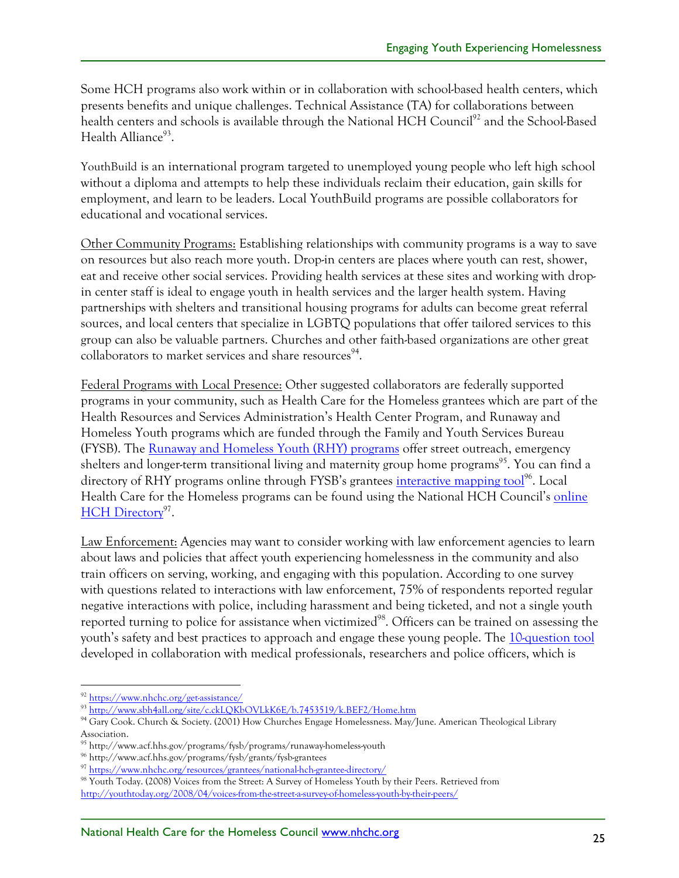Some HCH programs also work within or in collaboration with school-based health centers, which presents benefits and unique challenges. Technical Assistance (TA) for collaborations between health centers and schools is available through the National HCH Council<sup>92</sup> and the School-Based Health Alliance $93$ .

YouthBuild is an international program targeted to unemployed young people who left high school without a diploma and attempts to help these individuals reclaim their education, gain skills for employment, and learn to be leaders. Local YouthBuild programs are possible collaborators for educational and vocational services.

Other Community Programs: Establishing relationships with community programs is a way to save on resources but also reach more youth. Drop-in centers are places where youth can rest, shower, eat and receive other social services. Providing health services at these sites and working with dropin center staff is ideal to engage youth in health services and the larger health system. Having partnerships with shelters and transitional housing programs for adults can become great referral sources, and local centers that specialize in LGBTQ populations that offer tailored services to this group can also be valuable partners. Churches and other faith-based organizations are other great collaborators to market services and share resources<sup>94</sup>.

Federal Programs with Local Presence: Other suggested collaborators are federally supported programs in your community, such as Health Care for the Homeless grantees which are part of the Health Resources and Services Administration's Health Center Program, and Runaway and Homeless Youth programs which are funded through the Family and Youth Services Bureau (FYSB). The Runaway and Homeless Youth (RHY) programs offer street outreach, emergency shelters and longer-term transitional living and maternity group home programs<sup>95</sup>. You can find a directory of RHY programs online through FYSB's grantees interactive mapping tool<sup>96</sup>. Local Health Care for the Homeless programs can be found using the National HCH Council's online HCH Directory<sup>97</sup>.

Law Enforcement: Agencies may want to consider working with law enforcement agencies to learn about laws and policies that affect youth experiencing homelessness in the community and also train officers on serving, working, and engaging with this population. According to one survey with questions related to interactions with law enforcement, 75% of respondents reported regular negative interactions with police, including harassment and being ticketed, and not a single youth reported turning to police for assistance when victimized<sup>98</sup>. Officers can be trained on assessing the youth's safety and best practices to approach and engage these young people. The 10-question tool developed in collaboration with medical professionals, researchers and police officers, which is

 <sup>92</sup> https://www.nhchc.org/get-assistance/

<sup>93</sup> http://www.sbh4all.org/site/c.ckLQKbOVLkK6E/b.7453519/k.BEF2/Home.htm

<sup>94</sup> Gary Cook. Church & Society. (2001) How Churches Engage Homelessness. May/June. American Theological Library Association.

<sup>95</sup> http://www.acf.hhs.gov/programs/fysb/programs/runaway-homeless-youth

<sup>96</sup> http://www.acf.hhs.gov/programs/fysb/grants/fysb-grantees

<sup>97</sup> https://www.nhchc.org/resources/grantees/national-hch-grantee-directory/

<sup>98</sup> Youth Today. (2008) Voices from the Street: A Survey of Homeless Youth by their Peers. Retrieved from http://youthtoday.org/2008/04/voices-from-the-street-a-survey-of-homeless-youth-by-their-peers/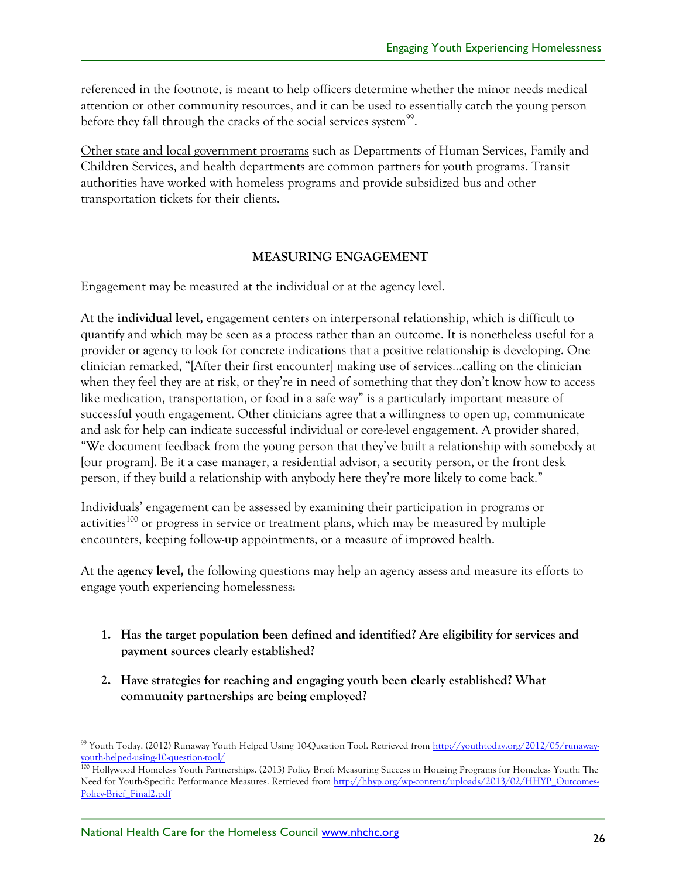referenced in the footnote, is meant to help officers determine whether the minor needs medical attention or other community resources, and it can be used to essentially catch the young person before they fall through the cracks of the social services system<sup>99</sup>.

Other state and local government programs such as Departments of Human Services, Family and Children Services, and health departments are common partners for youth programs. Transit authorities have worked with homeless programs and provide subsidized bus and other transportation tickets for their clients.

#### **MEASURING ENGAGEMENT**

Engagement may be measured at the individual or at the agency level.

At the **individual level,** engagement centers on interpersonal relationship, which is difficult to quantify and which may be seen as a process rather than an outcome. It is nonetheless useful for a provider or agency to look for concrete indications that a positive relationship is developing. One clinician remarked, "[After their first encounter] making use of services…calling on the clinician when they feel they are at risk, or they're in need of something that they don't know how to access like medication, transportation, or food in a safe way" is a particularly important measure of successful youth engagement. Other clinicians agree that a willingness to open up, communicate and ask for help can indicate successful individual or core-level engagement. A provider shared, "We document feedback from the young person that they've built a relationship with somebody at [our program]. Be it a case manager, a residential advisor, a security person, or the front desk person, if they build a relationship with anybody here they're more likely to come back."

Individuals' engagement can be assessed by examining their participation in programs or activities<sup>100</sup> or progress in service or treatment plans, which may be measured by multiple encounters, keeping follow-up appointments, or a measure of improved health.

At the **agency level,** the following questions may help an agency assess and measure its efforts to engage youth experiencing homelessness:

- **1. Has the target population been defined and identified? Are eligibility for services and payment sources clearly established?**
- **2. Have strategies for reaching and engaging youth been clearly established? What community partnerships are being employed?**

 <sup>99</sup> Youth Today. (2012) Runaway Youth Helped Using 10-Question Tool. Retrieved from http://youthtoday.org/2012/05/runawayyouth-helped-using-10-question-tool/

<sup>100</sup> Hollywood Homeless Youth Partnerships. (2013) Policy Brief: Measuring Success in Housing Programs for Homeless Youth: The Need for Youth-Specific Performance Measures. Retrieved from http://hhyp.org/wp-content/uploads/2013/02/HHYP\_Outcomes-Policy-Brief\_Final2.pdf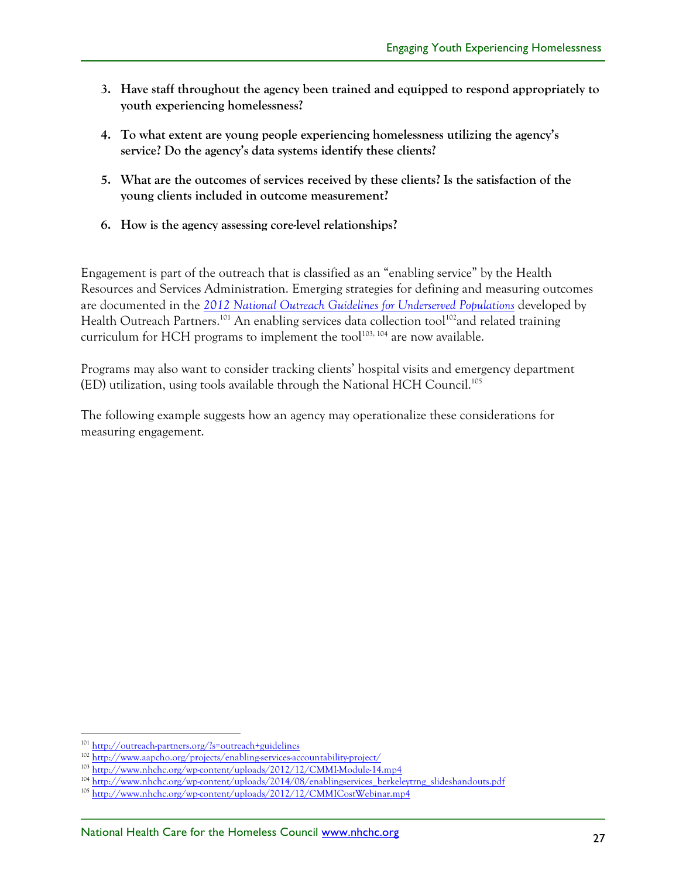- **3. Have staff throughout the agency been trained and equipped to respond appropriately to youth experiencing homelessness?**
- **4. To what extent are young people experiencing homelessness utilizing the agency's service? Do the agency's data systems identify these clients?**
- **5. What are the outcomes of services received by these clients? Is the satisfaction of the young clients included in outcome measurement?**
- **6. How is the agency assessing core-level relationships?**

Engagement is part of the outreach that is classified as an "enabling service" by the Health Resources and Services Administration. Emerging strategies for defining and measuring outcomes are documented in the *2012 National Outreach Guidelines for Underserved Populations* developed by Health Outreach Partners.<sup>101</sup> An enabling services data collection tool<sup>102</sup>and related training curriculum for HCH programs to implement the tool<sup>103, 104</sup> are now available.

Programs may also want to consider tracking clients' hospital visits and emergency department (ED) utilization, using tools available through the National HCH Council.105

The following example suggests how an agency may operationalize these considerations for measuring engagement.

 <sup>101</sup> http://outreach-partners.org/?s=outreach+guidelines

<sup>102</sup> http://www.aapcho.org/projects/enabling-services-accountability-project/

<sup>103</sup> http://www.nhchc.org/wp-content/uploads/2012/12/CMMI-Module-14.mp4

<sup>104</sup> http://www.nhchc.org/wp-content/uploads/2014/08/enablingservices\_berkeleytrng\_slideshandouts.pdf

<sup>105</sup> http://www.nhchc.org/wp-content/uploads/2012/12/CMMICostWebinar.mp4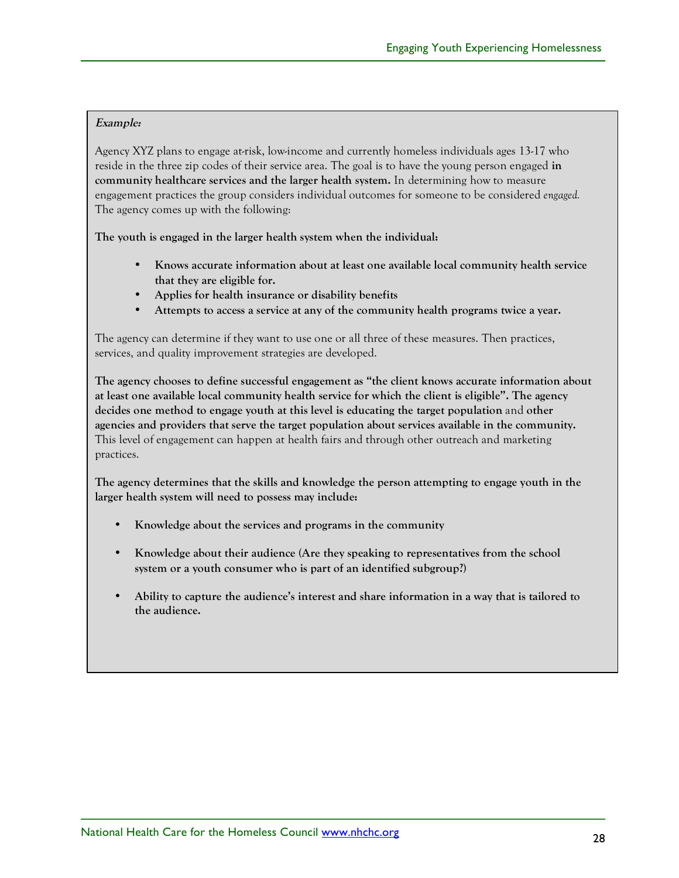#### **Example:**

Agency XYZ plans to engage at-risk, low-income and currently homeless individuals ages 13-17 who reside in the three zip codes of their service area. The goal is to have the young person engaged **in community healthcare services and the larger health system.** In determining how to measure engagement practices the group considers individual outcomes for someone to be considered *engaged.* The agency comes up with the following:

**The youth is engaged in the larger health system when the individual:**

- **Knows accurate information about at least one available local community health service that they are eligible for.**
- **Applies for health insurance or disability benefits**
- **Attempts to access a service at any of the community health programs twice a year.**

The agency can determine if they want to use one or all three of these measures. Then practices, services, and quality improvement strategies are developed.

**The agency chooses to define successful engagement as "the client knows accurate information about at least one available local community health service for which the client is eligible". The agency decides one method to engage youth at this level is educating the target population** and **other agencies and providers that serve the target population about services available in the community.**  This level of engagement can happen at health fairs and through other outreach and marketing practices.

**The agency determines that the skills and knowledge the person attempting to engage youth in the larger health system will need to possess may include:**

- **Knowledge about the services and programs in the community**
- **Knowledge about their audience (Are they speaking to representatives from the school system or a youth consumer who is part of an identified subgroup?)**
- **Ability to capture the audience's interest and share information in a way that is tailored to the audience.**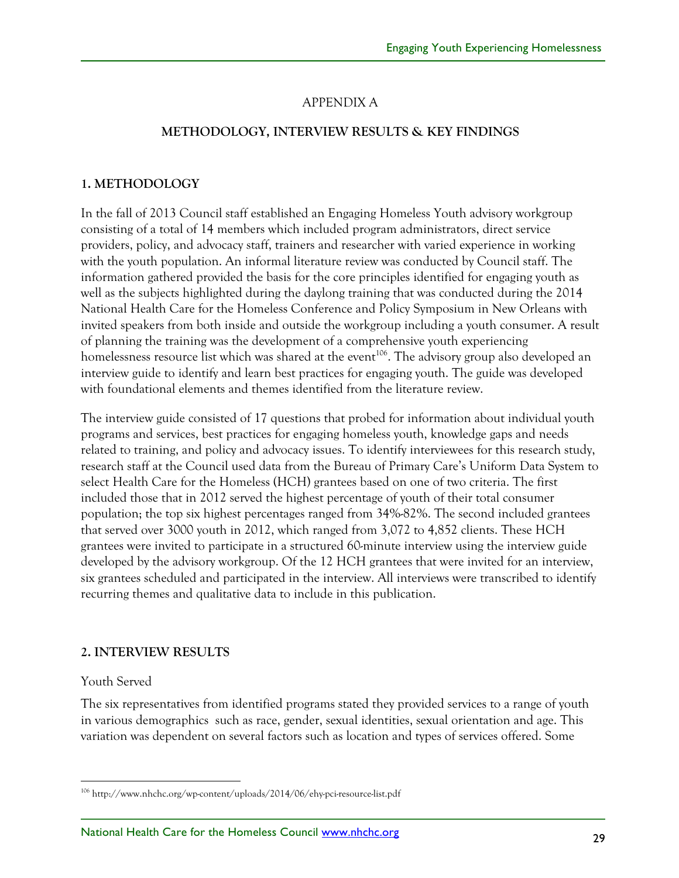## APPENDIX A

#### **METHODOLOGY, INTERVIEW RESULTS & KEY FINDINGS**

#### **1. METHODOLOGY**

In the fall of 2013 Council staff established an Engaging Homeless Youth advisory workgroup consisting of a total of 14 members which included program administrators, direct service providers, policy, and advocacy staff, trainers and researcher with varied experience in working with the youth population. An informal literature review was conducted by Council staff. The information gathered provided the basis for the core principles identified for engaging youth as well as the subjects highlighted during the daylong training that was conducted during the 2014 National Health Care for the Homeless Conference and Policy Symposium in New Orleans with invited speakers from both inside and outside the workgroup including a youth consumer. A result of planning the training was the development of a comprehensive youth experiencing homelessness resource list which was shared at the event<sup>106</sup>. The advisory group also developed an interview guide to identify and learn best practices for engaging youth. The guide was developed with foundational elements and themes identified from the literature review.

The interview guide consisted of 17 questions that probed for information about individual youth programs and services, best practices for engaging homeless youth, knowledge gaps and needs related to training, and policy and advocacy issues. To identify interviewees for this research study, research staff at the Council used data from the Bureau of Primary Care's Uniform Data System to select Health Care for the Homeless (HCH) grantees based on one of two criteria. The first included those that in 2012 served the highest percentage of youth of their total consumer population; the top six highest percentages ranged from 34%-82%. The second included grantees that served over 3000 youth in 2012, which ranged from 3,072 to 4,852 clients. These HCH grantees were invited to participate in a structured 60-minute interview using the interview guide developed by the advisory workgroup. Of the 12 HCH grantees that were invited for an interview, six grantees scheduled and participated in the interview. All interviews were transcribed to identify recurring themes and qualitative data to include in this publication.

#### **2. INTERVIEW RESULTS**

#### Youth Served

The six representatives from identified programs stated they provided services to a range of youth in various demographics such as race, gender, sexual identities, sexual orientation and age. This variation was dependent on several factors such as location and types of services offered. Some

 <sup>106</sup> http://www.nhchc.org/wp-content/uploads/2014/06/ehy-pci-resource-list.pdf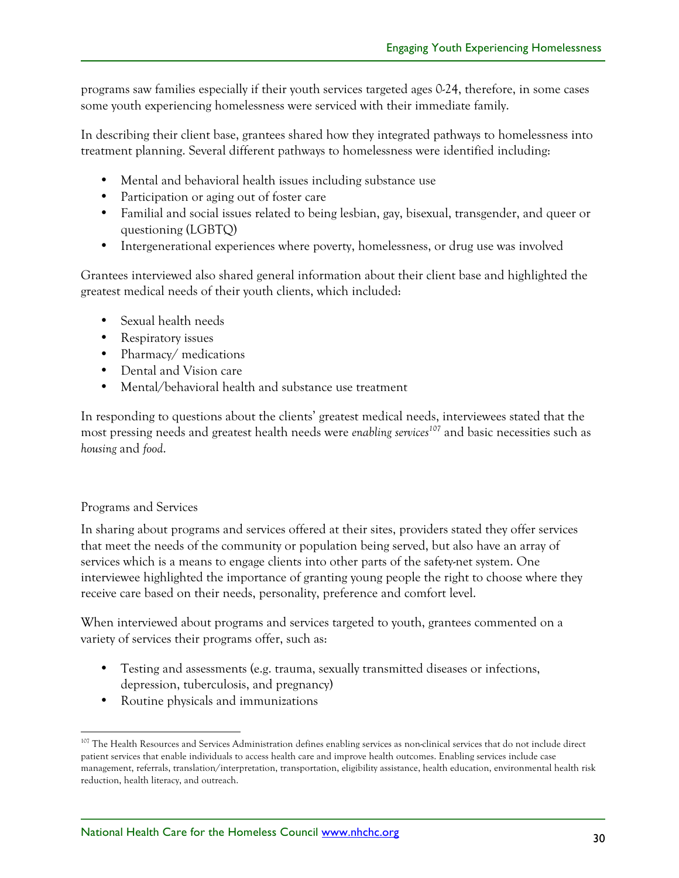programs saw families especially if their youth services targeted ages 0-24, therefore, in some cases some youth experiencing homelessness were serviced with their immediate family.

In describing their client base, grantees shared how they integrated pathways to homelessness into treatment planning. Several different pathways to homelessness were identified including:

- Mental and behavioral health issues including substance use
- Participation or aging out of foster care
- Familial and social issues related to being lesbian, gay, bisexual, transgender, and queer or questioning (LGBTQ)
- Intergenerational experiences where poverty, homelessness, or drug use was involved

Grantees interviewed also shared general information about their client base and highlighted the greatest medical needs of their youth clients, which included:

- Sexual health needs
- Respiratory issues
- Pharmacy/ medications
- Dental and Vision care
- Mental/behavioral health and substance use treatment

In responding to questions about the clients' greatest medical needs, interviewees stated that the most pressing needs and greatest health needs were *enabling services*<sup>107</sup> and basic necessities such as *housing* and *food*.

#### Programs and Services

In sharing about programs and services offered at their sites, providers stated they offer services that meet the needs of the community or population being served, but also have an array of services which is a means to engage clients into other parts of the safety-net system. One interviewee highlighted the importance of granting young people the right to choose where they receive care based on their needs, personality, preference and comfort level.

When interviewed about programs and services targeted to youth, grantees commented on a variety of services their programs offer, such as:

- Testing and assessments (e.g. trauma, sexually transmitted diseases or infections, depression, tuberculosis, and pregnancy)
- Routine physicals and immunizations

<sup>&</sup>lt;sup>107</sup> The Health Resources and Services Administration defines enabling services as non-clinical services that do not include direct patient services that enable individuals to access health care and improve health outcomes. Enabling services include case management, referrals, translation/interpretation, transportation, eligibility assistance, health education, environmental health risk reduction, health literacy, and outreach.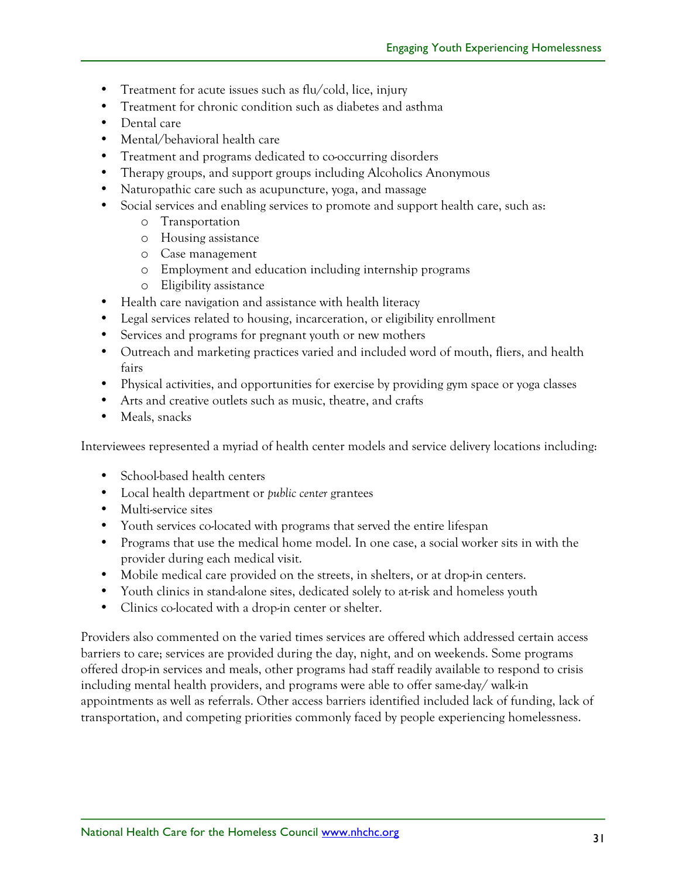- Treatment for acute issues such as flu/cold, lice, injury
- Treatment for chronic condition such as diabetes and asthma
- Dental care
- Mental/behavioral health care
- Treatment and programs dedicated to co-occurring disorders
- Therapy groups, and support groups including Alcoholics Anonymous
- Naturopathic care such as acupuncture, yoga, and massage
- Social services and enabling services to promote and support health care, such as:
	- o Transportation
	- o Housing assistance
	- o Case management
	- o Employment and education including internship programs
	- o Eligibility assistance
- Health care navigation and assistance with health literacy
- Legal services related to housing, incarceration, or eligibility enrollment
- Services and programs for pregnant youth or new mothers
- Outreach and marketing practices varied and included word of mouth, fliers, and health fairs
- Physical activities, and opportunities for exercise by providing gym space or yoga classes
- Arts and creative outlets such as music, theatre, and crafts
- Meals, snacks

Interviewees represented a myriad of health center models and service delivery locations including:

- School-based health centers
- Local health department or *public center* grantees
- Multi-service sites
- Youth services co-located with programs that served the entire lifespan
- Programs that use the medical home model. In one case, a social worker sits in with the provider during each medical visit.
- Mobile medical care provided on the streets, in shelters, or at drop-in centers.
- Youth clinics in stand-alone sites, dedicated solely to at-risk and homeless youth
- Clinics co-located with a drop-in center or shelter.

Providers also commented on the varied times services are offered which addressed certain access barriers to care; services are provided during the day, night, and on weekends. Some programs offered drop-in services and meals, other programs had staff readily available to respond to crisis including mental health providers, and programs were able to offer same-day/ walk-in appointments as well as referrals. Other access barriers identified included lack of funding, lack of transportation, and competing priorities commonly faced by people experiencing homelessness.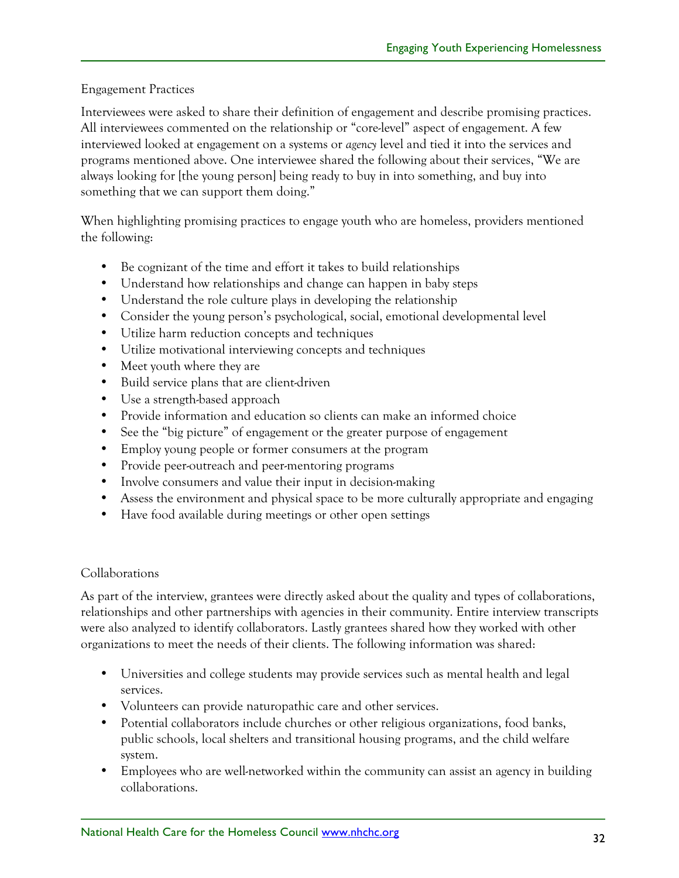## Engagement Practices

Interviewees were asked to share their definition of engagement and describe promising practices. All interviewees commented on the relationship or "core-level" aspect of engagement. A few interviewed looked at engagement on a systems or *agency* level and tied it into the services and programs mentioned above. One interviewee shared the following about their services, "We are always looking for [the young person] being ready to buy in into something, and buy into something that we can support them doing."

When highlighting promising practices to engage youth who are homeless, providers mentioned the following:

- Be cognizant of the time and effort it takes to build relationships
- Understand how relationships and change can happen in baby steps
- Understand the role culture plays in developing the relationship
- Consider the young person's psychological, social, emotional developmental level
- Utilize harm reduction concepts and techniques
- Utilize motivational interviewing concepts and techniques
- Meet youth where they are
- Build service plans that are client-driven
- Use a strength-based approach
- Provide information and education so clients can make an informed choice
- See the "big picture" of engagement or the greater purpose of engagement
- Employ young people or former consumers at the program
- Provide peer-outreach and peer-mentoring programs
- Involve consumers and value their input in decision-making
- Assess the environment and physical space to be more culturally appropriate and engaging
- Have food available during meetings or other open settings

## Collaborations

As part of the interview, grantees were directly asked about the quality and types of collaborations, relationships and other partnerships with agencies in their community. Entire interview transcripts were also analyzed to identify collaborators. Lastly grantees shared how they worked with other organizations to meet the needs of their clients. The following information was shared:

- Universities and college students may provide services such as mental health and legal services.
- Volunteers can provide naturopathic care and other services.
- Potential collaborators include churches or other religious organizations, food banks, public schools, local shelters and transitional housing programs, and the child welfare system.
- Employees who are well-networked within the community can assist an agency in building collaborations.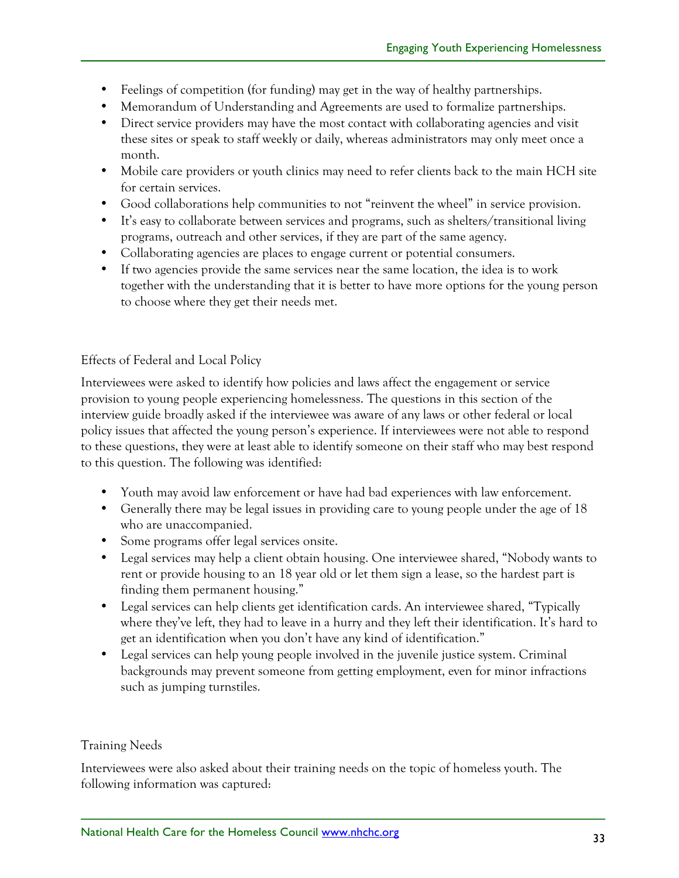- Feelings of competition (for funding) may get in the way of healthy partnerships.
- Memorandum of Understanding and Agreements are used to formalize partnerships.
- Direct service providers may have the most contact with collaborating agencies and visit these sites or speak to staff weekly or daily, whereas administrators may only meet once a month.
- Mobile care providers or youth clinics may need to refer clients back to the main HCH site for certain services.
- Good collaborations help communities to not "reinvent the wheel" in service provision.
- It's easy to collaborate between services and programs, such as shelters/transitional living programs, outreach and other services, if they are part of the same agency.
- Collaborating agencies are places to engage current or potential consumers.
- If two agencies provide the same services near the same location, the idea is to work together with the understanding that it is better to have more options for the young person to choose where they get their needs met.

## Effects of Federal and Local Policy

Interviewees were asked to identify how policies and laws affect the engagement or service provision to young people experiencing homelessness. The questions in this section of the interview guide broadly asked if the interviewee was aware of any laws or other federal or local policy issues that affected the young person's experience. If interviewees were not able to respond to these questions, they were at least able to identify someone on their staff who may best respond to this question. The following was identified:

- Youth may avoid law enforcement or have had bad experiences with law enforcement.
- Generally there may be legal issues in providing care to young people under the age of 18 who are unaccompanied.
- Some programs offer legal services onsite.
- Legal services may help a client obtain housing. One interviewee shared, "Nobody wants to rent or provide housing to an 18 year old or let them sign a lease, so the hardest part is finding them permanent housing."
- Legal services can help clients get identification cards. An interviewee shared, "Typically where they've left, they had to leave in a hurry and they left their identification. It's hard to get an identification when you don't have any kind of identification."
- Legal services can help young people involved in the juvenile justice system. Criminal backgrounds may prevent someone from getting employment, even for minor infractions such as jumping turnstiles.

#### Training Needs

Interviewees were also asked about their training needs on the topic of homeless youth. The following information was captured: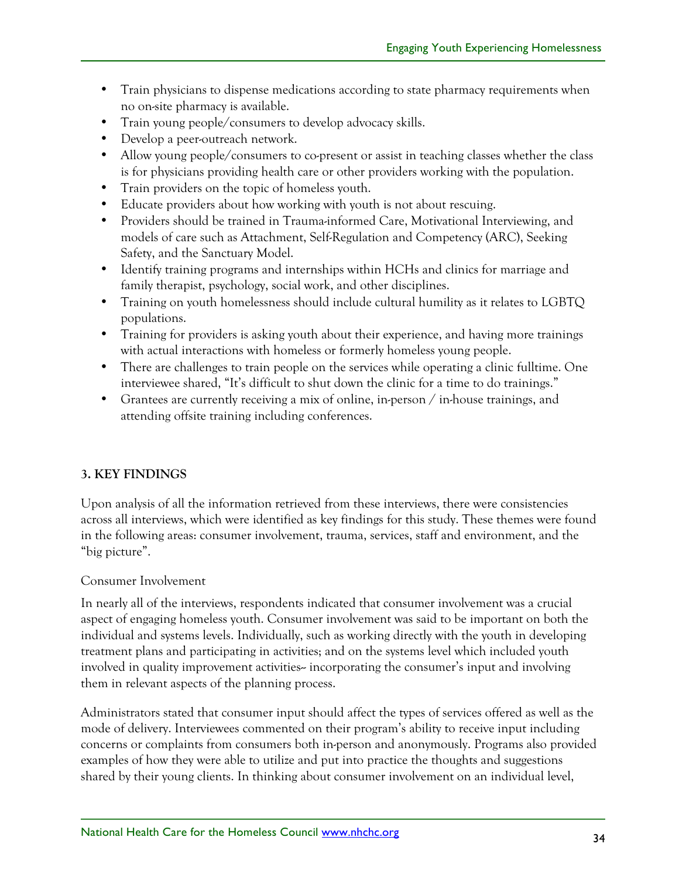- Train physicians to dispense medications according to state pharmacy requirements when no on-site pharmacy is available.
- Train young people/consumers to develop advocacy skills.
- Develop a peer-outreach network.
- Allow young people/consumers to co-present or assist in teaching classes whether the class is for physicians providing health care or other providers working with the population.
- Train providers on the topic of homeless youth.
- Educate providers about how working with youth is not about rescuing.
- Providers should be trained in Trauma-informed Care, Motivational Interviewing, and models of care such as Attachment, Self-Regulation and Competency (ARC), Seeking Safety, and the Sanctuary Model.
- Identify training programs and internships within HCHs and clinics for marriage and family therapist, psychology, social work, and other disciplines.
- Training on youth homelessness should include cultural humility as it relates to LGBTQ populations.
- Training for providers is asking youth about their experience, and having more trainings with actual interactions with homeless or formerly homeless young people.
- There are challenges to train people on the services while operating a clinic fulltime. One interviewee shared, "It's difficult to shut down the clinic for a time to do trainings."
- Grantees are currently receiving a mix of online, in-person / in-house trainings, and attending offsite training including conferences.

# **3. KEY FINDINGS**

Upon analysis of all the information retrieved from these interviews, there were consistencies across all interviews, which were identified as key findings for this study. These themes were found in the following areas: consumer involvement, trauma, services, staff and environment, and the "big picture".

# Consumer Involvement

In nearly all of the interviews, respondents indicated that consumer involvement was a crucial aspect of engaging homeless youth. Consumer involvement was said to be important on both the individual and systems levels. Individually, such as working directly with the youth in developing treatment plans and participating in activities; and on the systems level which included youth involved in quality improvement activities-incorporating the consumer's input and involving them in relevant aspects of the planning process.

Administrators stated that consumer input should affect the types of services offered as well as the mode of delivery. Interviewees commented on their program's ability to receive input including concerns or complaints from consumers both in-person and anonymously. Programs also provided examples of how they were able to utilize and put into practice the thoughts and suggestions shared by their young clients. In thinking about consumer involvement on an individual level,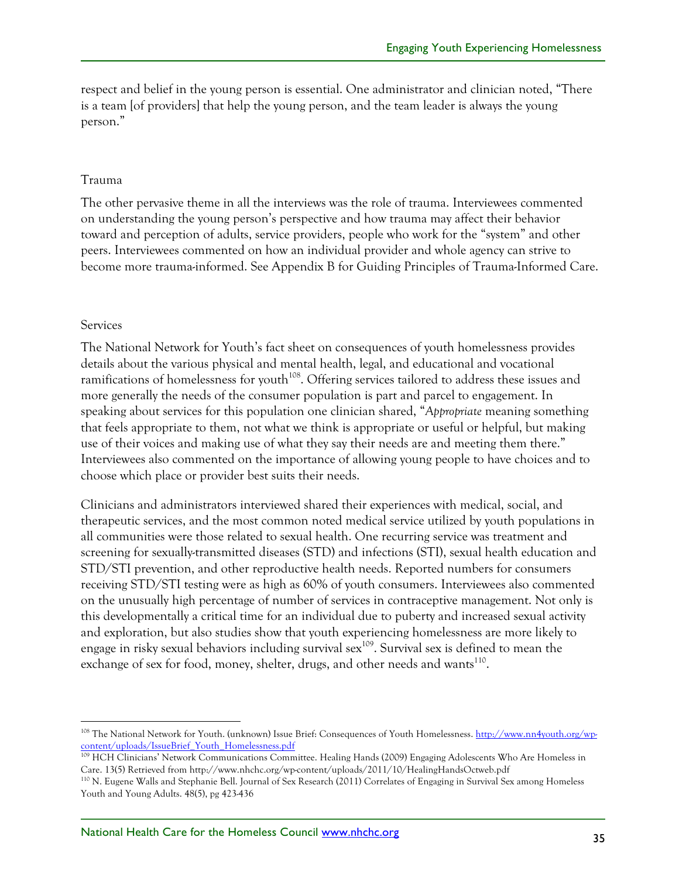respect and belief in the young person is essential. One administrator and clinician noted, "There is a team [of providers] that help the young person, and the team leader is always the young person."

#### Trauma

The other pervasive theme in all the interviews was the role of trauma. Interviewees commented on understanding the young person's perspective and how trauma may affect their behavior toward and perception of adults, service providers, people who work for the "system" and other peers. Interviewees commented on how an individual provider and whole agency can strive to become more trauma-informed. See Appendix B for Guiding Principles of Trauma-Informed Care.

#### Services

The National Network for Youth's fact sheet on consequences of youth homelessness provides details about the various physical and mental health, legal, and educational and vocational ramifications of homelessness for youth<sup>108</sup>. Offering services tailored to address these issues and more generally the needs of the consumer population is part and parcel to engagement. In speaking about services for this population one clinician shared, "*Appropriate* meaning something that feels appropriate to them, not what we think is appropriate or useful or helpful, but making use of their voices and making use of what they say their needs are and meeting them there." Interviewees also commented on the importance of allowing young people to have choices and to choose which place or provider best suits their needs.

Clinicians and administrators interviewed shared their experiences with medical, social, and therapeutic services, and the most common noted medical service utilized by youth populations in all communities were those related to sexual health. One recurring service was treatment and screening for sexually-transmitted diseases (STD) and infections (STI), sexual health education and STD/STI prevention, and other reproductive health needs. Reported numbers for consumers receiving STD/STI testing were as high as 60% of youth consumers. Interviewees also commented on the unusually high percentage of number of services in contraceptive management. Not only is this developmentally a critical time for an individual due to puberty and increased sexual activity and exploration, but also studies show that youth experiencing homelessness are more likely to engage in risky sexual behaviors including survival sex<sup>109</sup>. Survival sex is defined to mean the exchange of sex for food, money, shelter, drugs, and other needs and wants<sup>110</sup>.

 <sup>108</sup> The National Network for Youth. (unknown) Issue Brief: Consequences of Youth Homelessness. http://www.nn4youth.org/wpcontent/uploads/IssueBrief\_Youth\_Homelessness.pdf

<sup>109</sup> HCH Clinicians' Network Communications Committee. Healing Hands (2009) Engaging Adolescents Who Are Homeless in Care. 13(5) Retrieved from http://www.nhchc.org/wp-content/uploads/2011/10/HealingHandsOctweb.pdf

<sup>110</sup> N. Eugene Walls and Stephanie Bell. Journal of Sex Research (2011) Correlates of Engaging in Survival Sex among Homeless Youth and Young Adults. 48(5), pg 423-436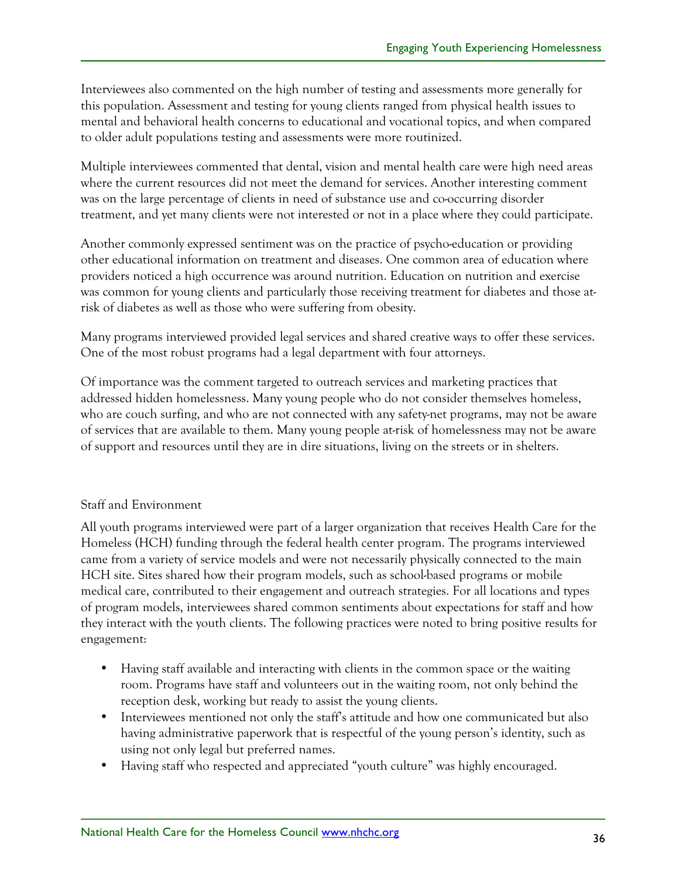Interviewees also commented on the high number of testing and assessments more generally for this population. Assessment and testing for young clients ranged from physical health issues to mental and behavioral health concerns to educational and vocational topics, and when compared to older adult populations testing and assessments were more routinized.

Multiple interviewees commented that dental, vision and mental health care were high need areas where the current resources did not meet the demand for services. Another interesting comment was on the large percentage of clients in need of substance use and co-occurring disorder treatment, and yet many clients were not interested or not in a place where they could participate.

Another commonly expressed sentiment was on the practice of psycho-education or providing other educational information on treatment and diseases. One common area of education where providers noticed a high occurrence was around nutrition. Education on nutrition and exercise was common for young clients and particularly those receiving treatment for diabetes and those atrisk of diabetes as well as those who were suffering from obesity.

Many programs interviewed provided legal services and shared creative ways to offer these services. One of the most robust programs had a legal department with four attorneys.

Of importance was the comment targeted to outreach services and marketing practices that addressed hidden homelessness. Many young people who do not consider themselves homeless, who are couch surfing, and who are not connected with any safety-net programs, may not be aware of services that are available to them. Many young people at-risk of homelessness may not be aware of support and resources until they are in dire situations, living on the streets or in shelters.

#### Staff and Environment

All youth programs interviewed were part of a larger organization that receives Health Care for the Homeless (HCH) funding through the federal health center program. The programs interviewed came from a variety of service models and were not necessarily physically connected to the main HCH site. Sites shared how their program models, such as school-based programs or mobile medical care, contributed to their engagement and outreach strategies. For all locations and types of program models, interviewees shared common sentiments about expectations for staff and how they interact with the youth clients. The following practices were noted to bring positive results for engagement:

- Having staff available and interacting with clients in the common space or the waiting room. Programs have staff and volunteers out in the waiting room, not only behind the reception desk, working but ready to assist the young clients.
- Interviewees mentioned not only the staff's attitude and how one communicated but also having administrative paperwork that is respectful of the young person's identity, such as using not only legal but preferred names.
- Having staff who respected and appreciated "youth culture" was highly encouraged.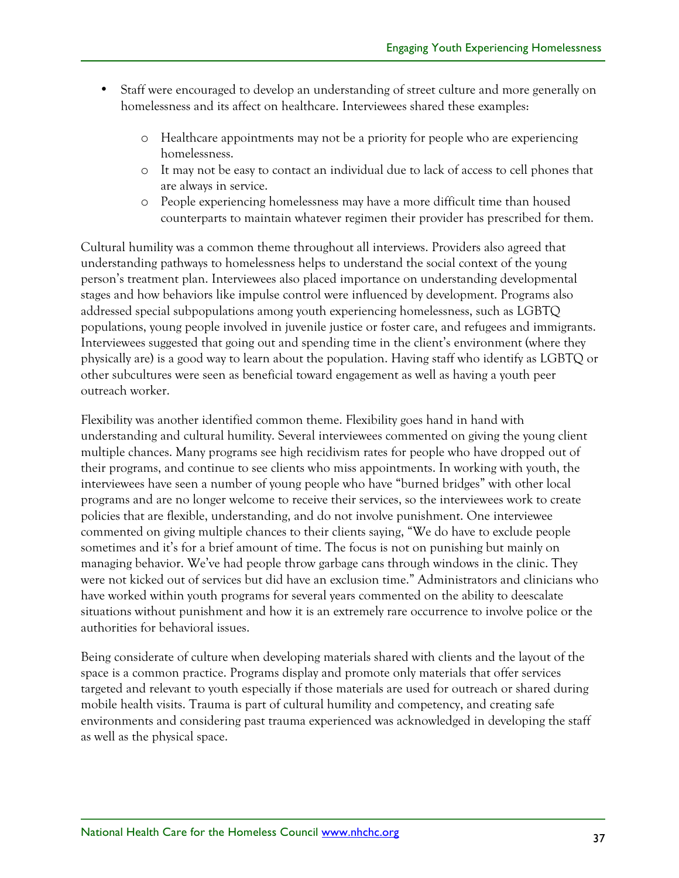- Staff were encouraged to develop an understanding of street culture and more generally on homelessness and its affect on healthcare. Interviewees shared these examples:
	- o Healthcare appointments may not be a priority for people who are experiencing homelessness.
	- o It may not be easy to contact an individual due to lack of access to cell phones that are always in service.
	- o People experiencing homelessness may have a more difficult time than housed counterparts to maintain whatever regimen their provider has prescribed for them.

Cultural humility was a common theme throughout all interviews. Providers also agreed that understanding pathways to homelessness helps to understand the social context of the young person's treatment plan. Interviewees also placed importance on understanding developmental stages and how behaviors like impulse control were influenced by development. Programs also addressed special subpopulations among youth experiencing homelessness, such as LGBTQ populations, young people involved in juvenile justice or foster care, and refugees and immigrants. Interviewees suggested that going out and spending time in the client's environment (where they physically are) is a good way to learn about the population. Having staff who identify as LGBTQ or other subcultures were seen as beneficial toward engagement as well as having a youth peer outreach worker.

Flexibility was another identified common theme. Flexibility goes hand in hand with understanding and cultural humility. Several interviewees commented on giving the young client multiple chances. Many programs see high recidivism rates for people who have dropped out of their programs, and continue to see clients who miss appointments. In working with youth, the interviewees have seen a number of young people who have "burned bridges" with other local programs and are no longer welcome to receive their services, so the interviewees work to create policies that are flexible, understanding, and do not involve punishment. One interviewee commented on giving multiple chances to their clients saying, "We do have to exclude people sometimes and it's for a brief amount of time. The focus is not on punishing but mainly on managing behavior. We've had people throw garbage cans through windows in the clinic. They were not kicked out of services but did have an exclusion time." Administrators and clinicians who have worked within youth programs for several years commented on the ability to deescalate situations without punishment and how it is an extremely rare occurrence to involve police or the authorities for behavioral issues.

Being considerate of culture when developing materials shared with clients and the layout of the space is a common practice. Programs display and promote only materials that offer services targeted and relevant to youth especially if those materials are used for outreach or shared during mobile health visits. Trauma is part of cultural humility and competency, and creating safe environments and considering past trauma experienced was acknowledged in developing the staff as well as the physical space.